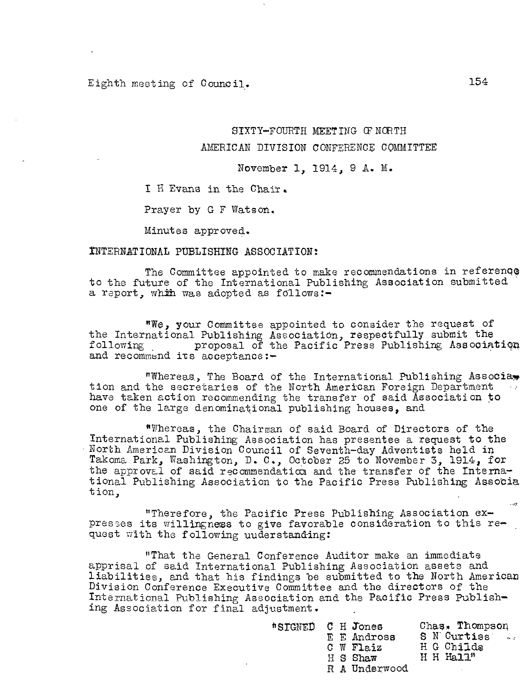# Eighth meeting of Council. 154

# SIXTY—FOURTH MEETING OTNORTH AMERICAN DIVISION CONFERENCE COMMITTEE

## November 1, 1914, 9 A. M.

I H Evans in the Chair.

Prayer by G F Watson.

Minutes approved.

#### INTERNATIONAL PUBLISHING ASSOCIATION:

The Committee appointed to make recommendations in reference to the future of the International Publishing Association submitted a report, whih was adopted as follows:—

"We, your Committee appointed to consider the request of the International Publishing Association, respectfully submit the following proposal of the Pacific Press Publishing Association and recommend its acceptance:-

"Whereas, The Board of the International Publishing Associate tion and the secretaries of the North American Foreign Department have taken action recommending the transfer of said Association to one of the large denominational publishing houses, and

"Whereas, the Chairman of said Board of Directors of the International Publishing Association has presentee a request to the North American Division Council of Seventh—day Adventists held in Takoma Park, Washington, D. C., October 25 to November 3, 1914, for the approval of said recommendation and the transfer of the Interna tional Publishing Association to the Pacific Press Publishing Associa tion,

"Therefore, the Pacific Press Publishing Association ex presses its willingness to give favorable consideration to this re quest with the following uuderstanding:

"That the General Conference Auditor make an immediate apprisal of said International Publishing Association assets and liabilities, and that his findings be submitted to the North American Division Conference Executive Committee and the directors of the International Publishing Association and the Pacific Press Publish ing Association for final adjustment.

| "SIGNED C H Jones |  | E E Andross<br>$C \ W$ Flaiz |  | Chas. Thompson<br>S N Curtiss<br>H G Childs | $\sim$ $\sigma$ |
|-------------------|--|------------------------------|--|---------------------------------------------|-----------------|
|                   |  | H S Shaw                     |  | $H$ H Hall <sup><math>n</math></sup>        |                 |
|                   |  | R A Underwood                |  |                                             |                 |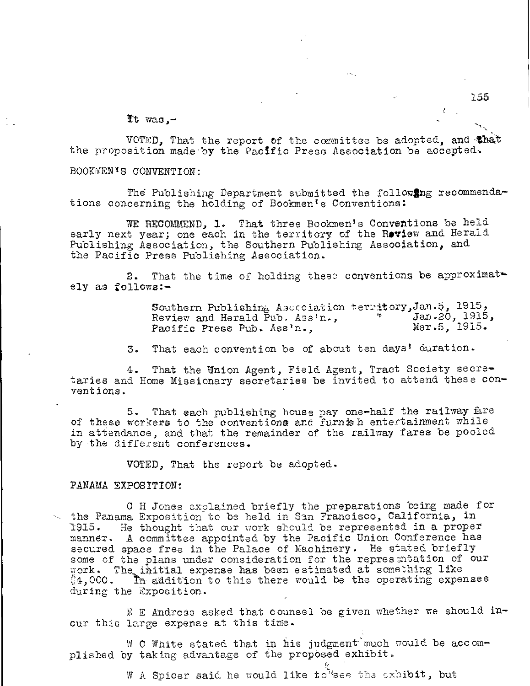It was,-

VOTED, That the report of the committee be adopted, and that the proposition made by the Pacific Press Association be accepted.

BOOMENTS CONVENTION:

The Publishing Department submitted the following recommendations concerning the holding of Bookmen's Conventions:

WE RECOMMEND, 1. That three Bookmen's Conventions be held early next year; one each in the territory of the Review and Herald Publishing Association, the Southern Publishing Association, and the Pacific Press Publishing Association.

2. That the time of holding these conventions be approximately as follows:-

> Southern Publishing A3scciation ter-Atoryljan.5, 1915, Review and Herald Pub. Ass'n.,  $\frac{1915}{200}$ , 1915.<br>Pacific Press Pub. Ass'n... Mar.5, 1915. Pacific Press Pub. Ass'n.,

3. That each convention be of about ten days' duration.

That the Union Agent, Field Agent, Tract Society secretaries and Home Missionary secretaries be invited to attend these conventions.

5. That each publishing house pay one-half the railway Are of these workers to the conventions and furnish entertainment while in attendance, and that the remainder of the railway fares be pooled by the different conferences.

VOTED, That the report be adopted.

PANAMA EXPOSITION:

C H Jones explained briefly the preparations being made for the Panama Exposition to be held in San Francisco, California, in 1915. He thought that our work should be represented in a proper manner, A committee appointed by the Pacific Union Conference has secured space free in the Palace of Machinery. He stated briefly some of the plans under consideration for the representation of our work. The initial expense has been estimated at something like  $\%4,000$ . In addition to this there would be the operating expenses during the Exposition.

E E Andross asked that counsel be given whether we should incur this large expense at this time.

W C White stated that in his judgment much would be accomplished by taking advantage of the proposed exhibit.

W A Spicer said he would like to see the exhibit, but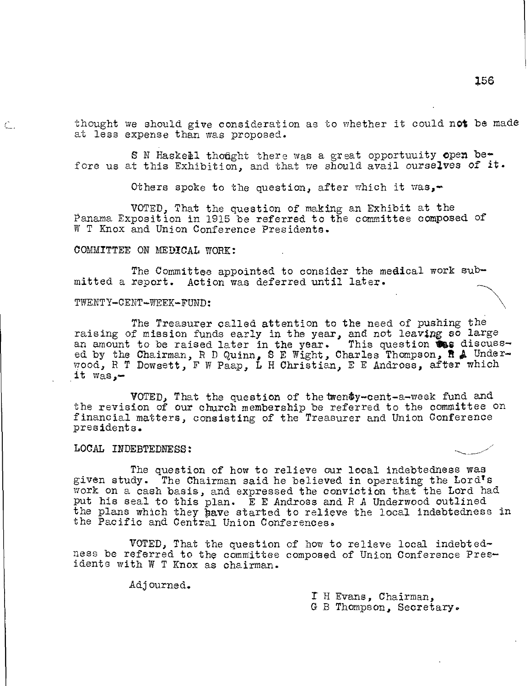thought we should give consideration as to whether it could not be made at less expense than was proposed.

S N Haskell thought there was a great opportuuity open before us at this Exhibition, and that we should avail ourselves of it.

Others spoke to the question, after which it was,-

VOTED, That the question of making an Exhibit at the Panama Exposition in 1915 be referred to the committee composed of W T Knox and Union Conference Presidents.

### COMMITTEE ON MEDICAL WORK:

The Committee appointed to consider the medical work submitted a report. Action was deferred until latex.

#### TWENTY-CENT-WEEK-FUND:

 $\mathbb{C}$  .

The Treasurer called attention to the need of pushing the raising of mission funds early in the year, and not leaving so large an amount to be raised later in the year. This question  $\mathbf{W}_{\mathbf{S}}$  discussed by the Chairman, R D Quinn, S E Wight, Charles Thompson, R & Underwood, R T Dowsett, F W Paap, L H Christian, E E Andross, after which it  $was -$ 

VOTED, That the question of thetwendy-cent-a-week fund and the revision of our church membership be referred to the committee on financial matters, consisting of the Treasurer and Union Conference presidents.

## LOCAL INDEBTEDNESS:

The question of how to relieve our local indebtedness was given study. The Chairman said he believed in operating the Lord's work on a cash basis, and expressed the conviction that the Lord had put his seal to this plan. E E Andross and R A Underwood outlined the plans which they have started to relieve the local indebtedness in the Pacific and Central Union Conferences.

VOTED, That the question of how to relieve local indebtedness be referred to the committee composed of Union Conference Presidents with W T Knox as chairman.

Adjourned.

Y H Evans, Chairman, G B Thompson, Secretary.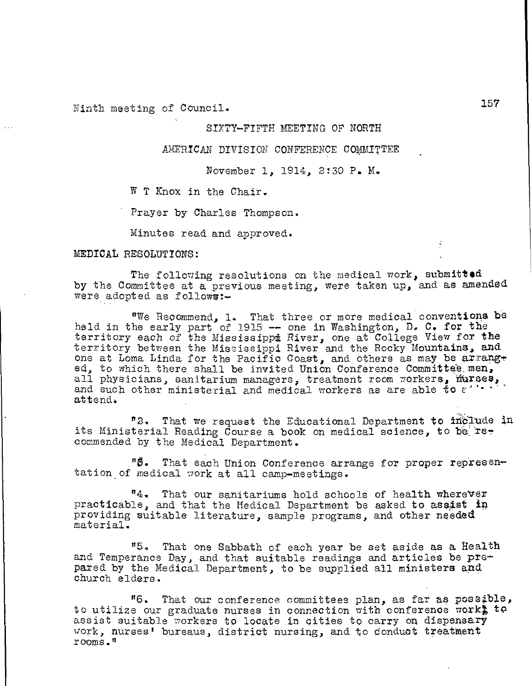Ninth meeting of Council.

## SIXTY—FIFTH MEETING OF NORTH

AMERICAN DIVISION CONFERENCE COMMITTEE

November 1, 1914, 2:30 P. M.

W T Knox in the Chair.

Prayer by Charles Thompson.

Minutes read and approved.

MEDICAL RESOLUTIONS:

The following resolutions on the medical work, submitted by the Committee at a previous meeting, were taken up, and as amended were adopted as follows:—

"We Recommend, 1. That three or more medical conventions be held in the early part of 1915 -- one in Washington, D. C. for the territory each of the Mississippi River, one at College View for the territory between the Mississippi River and the Rocky Mountains, and one at Loma Linda for the Pacific Coast, and others as may be arranged, to which there shall be invited Union Conference Committee men, all physicians, sanitarium managers, treatment room workers, murses,<br>and such other ministerial and medical workers as are able to  $\varepsilon$ ''''' attend.

"2. That we request the Educational Department to inplude in its Ministerial Reading Course a book on medical science, to be  $re$ . commended by the Medical Department.

"6. That each Union Conference arrange for proper represen tation of medical work at all camp-meetings.

"4, That our sanitariums hold schools of health wherever practicable, and that the Medical Department be asked to assist ip providing suitable literature, sample programs, and other needed material.

"5. That one Sabbath of each year be set aside as a health and Temperance Day, and that suitable readings and articles be prepared by the Medical Department, to be supplied all ministers and church elders.

"6. That our conference committees plan, as far as posatble, to utilize our graduate nurses in connection with conference work $\frac{1}{2}$  to assist suitable workers to locate in cities to carry on dispensary work, nurses' bureaus, district nursing, and to conduct treatment rooms."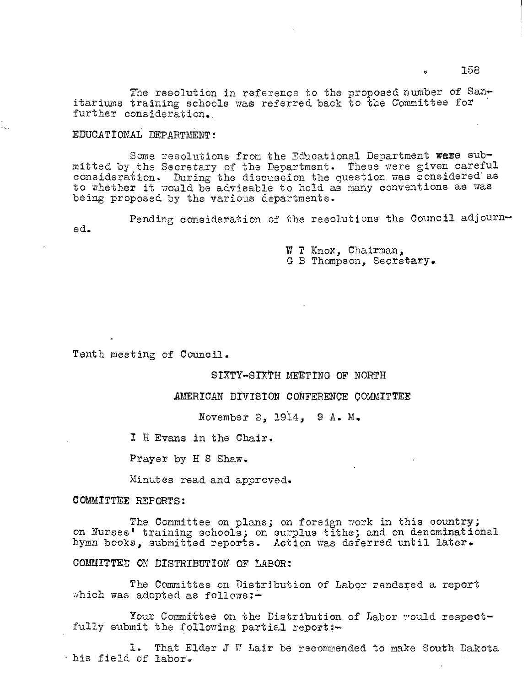The resolution in reference to the proposed number of Sanitariums training schools wag referred back to the Committee for ' further consideration..

# EDUCATIONAL DEPARTMENT:

Some resolutions from the Educational Department were submitted by the Secretary of the Department. These were given careful consideration. During the discussion the question was considered' as to whether it would be advisable to hold as many conventions as was being proposed by the various departments.

Pending consideration of the resolutions the Council adjourned.

> W T Knox, Chairman, G B Thompson, Secretary.

Tenth meeting of Council.

#### SIXTY-SIXTH MEETING OF NORTH

AMERICAN DIVISION CONFERENCE COMMITTEE

November 2, 1914, 9 A. M.

I H Evans in the Chair.

Prayer by H S Shaw.

Minutes read and approved.

COMMITTEE REPORTS:

The Committee on plans; on foreign work in this country; on Nurses' training schools; on surplus tithe; and on denominational hymn books, submitted reports. Action was deferred until later.

COMMITTEE ON DISTRIBUTION OF LABOR:

The Committee on Distribution of Labor rendered a report which was adopted as follows: $-$ 

Your Committee on the Distribution of Labor would respectfully submit the following partial report;-

1. That Elder J W Lair be recommended to make South Dakota -his field of labor.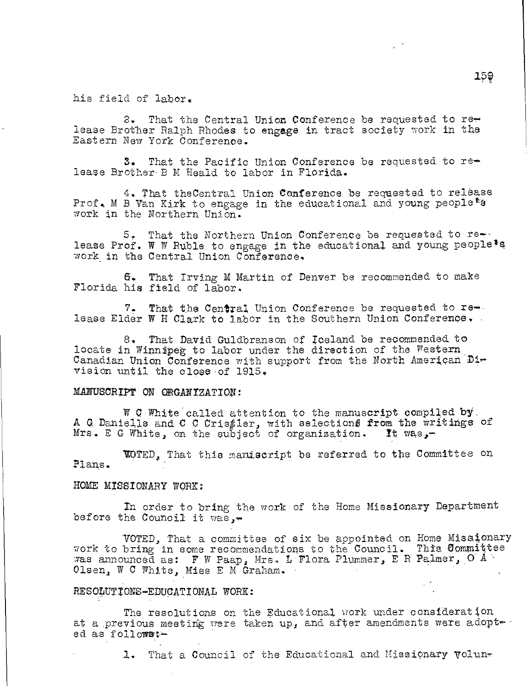his field of labor.

2. That the Central Union Conference be requested to rer lease Brother Ralph Rhodes to engage in tract society work in the Eastern New York Conference.

 $3.$  That the Pacific Union Conference be requested to re $\sim$ . lease Brother B M Heald to labor in Florida.

4. That theCentral Union Conference be requested to release Prof. M B Van Kirk to engage in the educational and young people<sup>ts</sup> work in the Northern Union.

5, That the Northern Union Conference be requested to re- lease Prof. W W Ruble to engage in the educational and young people<sup>\$8</sup> work in the Central Union Conference.

S. That Irving M Martin of Denver be recommended to make Florida his field of labor.

7. That the Central Union Conference be requested to release Elder W H Clark to labor in the Southern Union Conference.

8. That David Guldbranson of Iceland be recommended to locate in Winnipeg to labor under the direction of the Western Canadian Union Conference with support from the North American Di vision until the close-of 1915,

## MANUSCRIPT ON ORGANIZATION:

W C White called attention to the manuscript compiled by. A. G. Daniells and C C Cris $_{\ell}$ ler, with selections from the writings of Mrs. E G White, on the suoject of organization. It vas,—

'VOTED, That this maniscript be referred to the Committee on Plans.

## HOME MISSIONARY WORK:

In order to bring the work of the Home Missionary Department before the Council it was, $\blacksquare$ 

VOTED, That a committee of six be appointed on Home Missionary work to bring in some recommendations to the Council. This Committee was announced as: F W Paap, Mrs. L'Flora Plummer, E R Palmer, O A  $^{\circ}$ Olsen, W C White, Miss E M Graham.

## RESODUTIONE—EDUCATIONAL WORK:

The resolutions on the Educational work under consideration ed as followarat a previous meeting were taken up, and after amendments were adopt-

1. That a Council of the Educational and Missionary Volun-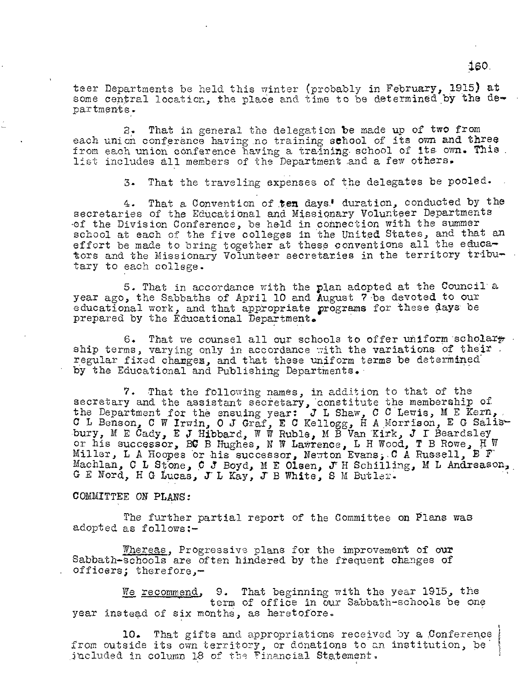teer Departments be held this winter (probably in February, 1915) at some central location, the place and time to be determined by the departments.

2. That in general the delegation be made up of two from each union conference having no training school of its own and three from each union conference having a training. school of its own. This. list includes all members of the Department and a few others.

3. That the traveling expenses of the delegates be pooled.

4. That a Convention of ten days.' duration, conducted by the secretaries of the Educational and Missionary Volunteer Departments -of the Division Conference, be held in connection with the summer school at each of the five colleges in the United States, and that an effort be made to bring together at these conventions all the educators and the Missionary Volunteer secretaries in the territory tributary to each college.

5. That in accordance with the plan adopted at the Council a year ago, the Sabbaths of April 10 and August 7 be devoted to our educational work, and that appropriate programs for these days be prepared by the Educational Department.

6. That we counsel all our schools to offer uniform scholars ship terms, varying only in accordance with the variations of their. regular fixed changes, and that these uniform terms be determined by the Educational and Publishing Departments.

7. That the following names, in addition to that of the secretary and the assistant secretary, constitute the membership of the Department for the ensuing year: J L Shaw, C C Lewis, M E Kern, C L Benson, C W Irwin, 0 J Graf, E C Kellogg, H A Morrison, E G bury, M E Cady, E J Hibbard, W W Ruble, M B Van Kirk, J I Beardsley or his successor, BC B Hughes, N W Lawrence, L H Wood, T B Rowe, H W Miller, L A Hoopes or his successor, Newton Evans, C A Russell, B F Machlan, C L Stone, C J Boyd, M E Olsen, J H Schilling, M L Andreason, G E Nord, H G Lucas, J L Kay, J B White, S M Butler.

## COMMITTEE ON PLANS:

The further partial report of the Committee on Plans was adopted as follows:-

Whereas, Progressive plans for the improvement of our Sabbath-schools are often hindered by the frequent changes of officers; therefore,-

We recommend, 9. That beginning with the year 1915, the term of office in our Sabbath-schools be one year instead of six months, as heretofore.

10. That gifts and appropriations received by a Conference from outside its own territory, or donations to an institution, be included in column 18 of the Financial Statement.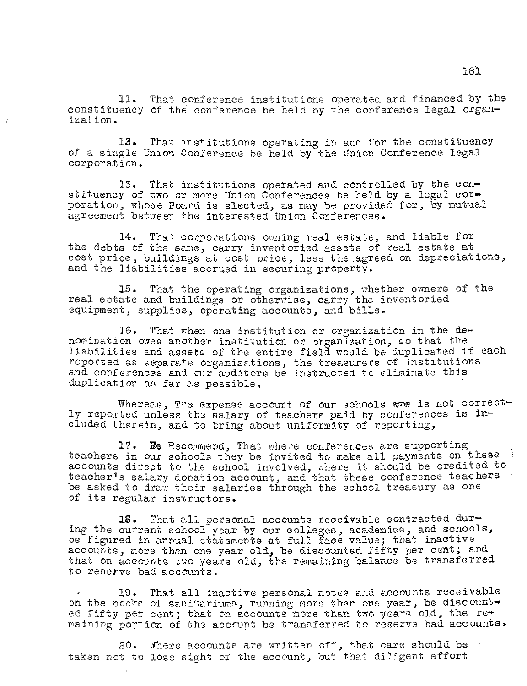11. That conference institutions operated and financed by the constituency of the conference be held by the conference legal organizat ion.

13. That institutions operating in and for the constituency of a single Union Conference be held by the Union Conference legal corporation.

 $\mathbb{Z}$ 

13. That institutions operated and controlled by the constituency of two or more Union Conferences be held by a legal  $cor=$ poration, whose Board is elected, as may be provided for, by mutual agreement between the interested Union Conferences.

14. That corporations owning real estate, and liable for the debts of the same, carry inventoried assets of real estate at cost price, buildings at cost price, less the agreed on depreciations, and the liabilities accrued in securing property.

15. That the operating organizations, whether owners of the real estate and buildings or otherwise, carry the inventoried equipment, supplies, operating accounts, and bills.

16. That when one institution or organization in the denomination owes another institution or organization, so that the liabilities and assets of the entire field would be duplicated if each reported as separate organizations, the treasurers of institutions and conferences and our auditors be instructed to eliminate this duplication as far as possible.

Whereas, The expense account of our schools asse is not correctly reported unless the salary of teachers paid by conferences is included therein, and to bring about uniformity of reporting,

17. We Recommend, That where conferences are supporting teachers in our schools they be invited to make all payments on these accounts direct to the school involved, where it should be credited to teacher's salary donation account, and that these conference teachers be asked to draw their salaries through the school treasury as one of its regular instructors.

18. That all personal accounts receivable contracted during the current school year by our colleges, academies, and schools, be figured in annual statements at full face value; that inactive accounts, more than one year old, be discounted fifty per cent; and that on accounts two years old, the remaining balance be transferred to reserve bad accounts.

19. That all inactive personal notes and accounts receivable on the books of sanitariums, running more than one year, be discounted fifty per cent; that on accounts more than two years old, the remaining portion of the account be transferred to reserve bad accounts.

20. Where accounts are written off, that care should be taken not to lose sight of the account, but that diligent effort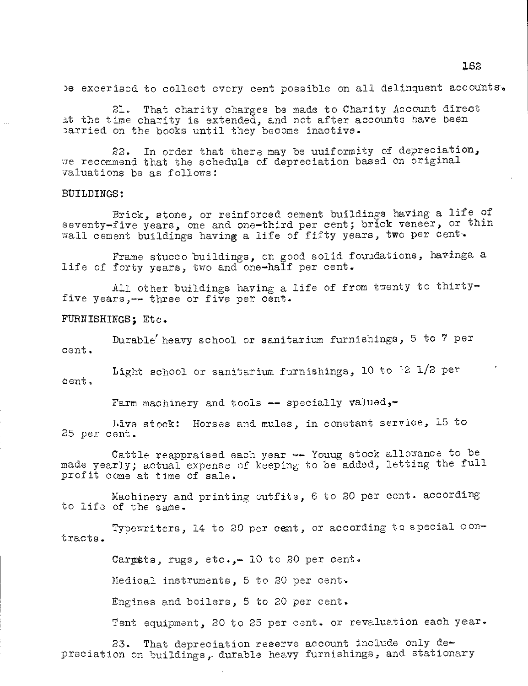be excerised to collect every cent possible on all delinquent accounts.

21. That charity charges be made to Charity Account direct at the time charity is extended, and not after accounts have been parried on the books until they become inactive.

22. In order that there may be uuiformity of depreciation, we recommend that the schedule of depreciation based on original valuations be as follows:

## BUILDINGS:

Brick, stone, or reinforced cement buildings having a life of seventy-five years, one and one-third per cent; brick veneer, or thin wall cement buildings having a life of fifty years, two per cent.

Frame stucco buildings, on good solid fouudations, havinga a life of forty years, two and one-half per cent.

All other buildings having a life of from twenty to thirtyfive years,-- three or five per cent.

FURNISHINGS; Etc.

Durable' heavy school or sanitarium furnishings, 5 to 7 per cent.

Light school or sanitarium furnishings, 10 to 12 1/2 per cent.

Farm machinery and tools  $\leftarrow$  specially valued,-

Live stock: Horses and mules, in constant service, 15 to 25 per cent.

Cattle reappraised each year -- Youug stock allowance to be made yearly; actual expense of keeping to be added, letting the full profit come at time of sale.

Machinery and printing outfits, 6 to 20 per cent. according to life of the same.

Typewriters, 14 to 20 per cent, or according to special contracts.

Carpets, rugs, etc.,- 10 to 20 per cent.

Medical instruments, 5 to 20 per cent•.

Engines and boilers, 5 to 20 per cent.

Tent equipment, 20 to 25 per cent. or revaluation each year.

23. That depreciation reserve account include only depreciation on buildings, durable heavy furnishings, and stationary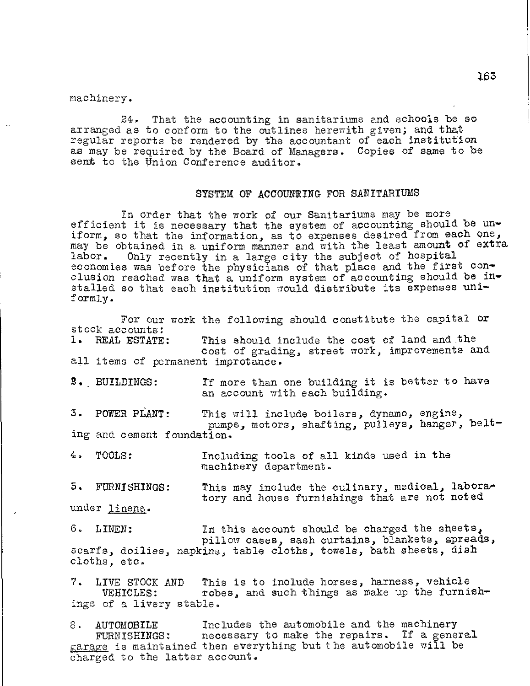machinery.

24. That the accounting in sanitariums and schools be so arranged as to conform to the outlines herewith given; and that regular reports be rendered by the accountant of each institution as may be required by the Board of Managers. Copies of same to be sent to the Union Conference auditor.

## SYSTEM OF ACCOUNTING FOR SANITARIUMS

In order that the work of our Sanitariums may be more efficient it is necessary that the system of accounting should be uniform, so that the information, as to expenses desired from each one, may be obtained in a uniform manner and with the least amount of extra labor. Only recently in a large city the subject of hospital economies was before the physicians of that place and the first conclusion reached was that a uniform system of accounting should be installed so that each institution would distribute its expenses uniformly.

For our work the following should constitute the capital or stock accounts: 1. REAL ESTATE: all items of permanent improtance. This should include the cost of land and the cost of grading, street work, improvements and If more than one building it is better to have an account with each building. This will include boilers, dynamo, engine, pumps, motors, shafting, pulleys, hanger, belting and cement foundation. 4. TOOLS: Including tools of all kinds used in the machinery department. 2. BUILDINGS: 3. POWER PLANT: scarfs, doilies, napkins, table cloths, towels, bath sheets, dish cloths, etc. This may include the culinary, medical, laboratory and house furnishings that are not noted In this account should be charged the sheets, pillow cases, sash curtains, blankets, spreads, 5. FURNISHINGS: under linens. 6. LINEN:

7. LIVE STOCK AND VEHICLES: of a livery stable. This is to include horses, harness, vehicle robes, and such things as make up the furnish-

8. AUTOMOBILE Includes the automobile and the machinery FURNISHINGS: necessary to make the repairs. If a general garage is maintained then everything but the automobile will be charged to the latter account.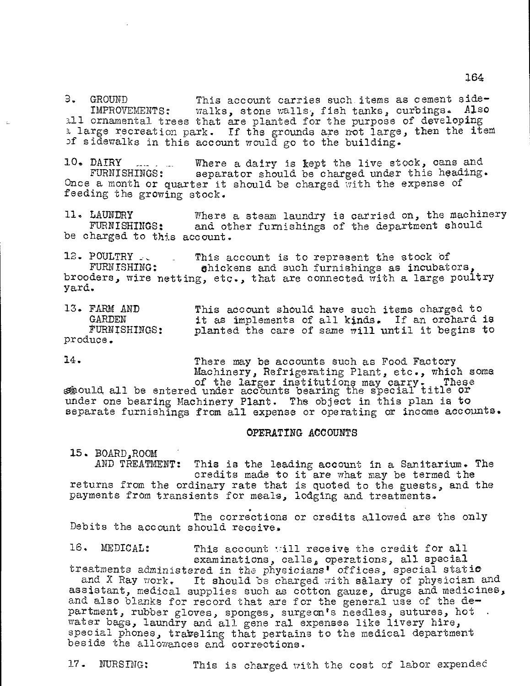9. GROUND This account carries such items as cement side-<br>IMPROVEMENTS: walks, stone walls, fish tanks, curbings. Also Walks, stone walls, fish tanks, curbings. all ornamental trees that are planted for the purpose of developing a large recreation park. If the grounds are not large, then the item of sidewalks in this account would go to the building.

10. DAIRY ... . Where a dairy is kept the live stock, cans and FURNISHINGS: separator should be charged under this heading. separator should be charged under this heading. Once a month or quarter it should be charged with the expense of feeding the growing stock.

11. LAUNDRY Where a steam laundry is carried on, the machinery<br>FURNISHINGS: and other furnishings of the department should and other furnishings of the department should be charged to this account.

12. POULTRY  $\ldots$  This account is to represent the stock of FURNISHING: ahickens and such furnishings as incubat shickens and such furnishings as incubators, brooders, wire netting, etc., that are connected with a large poultry yard.

13. FARM AND GARDEN FURNISHINGS: produce. This account should have such items charged to it as implements of all kinds. If an orchard is planted the care of same will until it begins to

14. There may be accounts such as Food Factory Machinery, Refrigerating Plant, etc., which some of the larger institutions may carry. These of the larger institutions may carry. These

 $s$ hould all be entered under accounts bearing the special title  $o\!$ under one bearing Machinery Plant. The object in this plan is to separate furnishings from all expense or operating or income accounts.

#### OPERATING ACCOUNTS

15. BOARD, ROOM<br>AND TREATMENT: This is the leading account in a Sanitarium. The credits made to it are what may be termed the returns from the ordinary rate that is quoted to the guests, and the payments from transients for meals, lodging and treatments.

The corrections or credits allowed are the only Debits the account should receive.

16. MEDICAL: This account :ill receive the credit for all examinations, calls, operations, all special treatments administered in the physicians' offices, special static<br>and X Ray work. It should be charged with salary of physician It should be charged with salary of physician and assistant, medical supplies such as cotton gauze, drugs and medicines, and also blanks for record that are for the general use of the department, rubber gloves, sponges, surgeon's needles, sutures, hot water bags, laundry and all gene ral expenses like livery hire, special phones, traveling that pertains to the medical department beside the allowances and corrections.

17. NURSING: This is charged with the cost of labor expended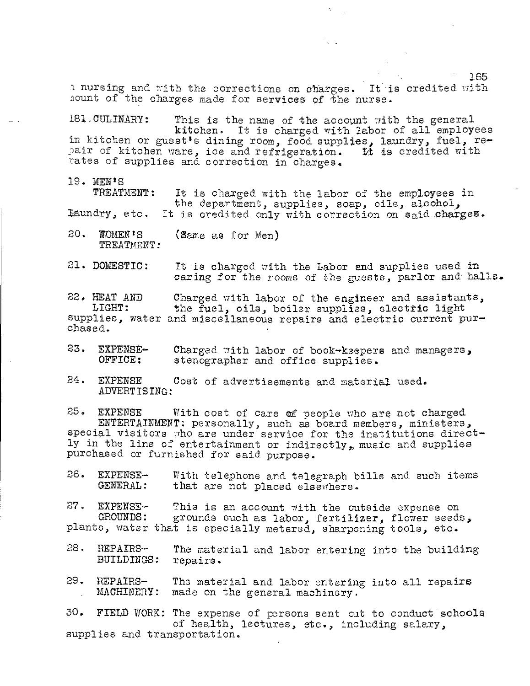n nursing and with the corrections on charges. It is credited with hount of the charges made for services of the nurse.

181.CULINARY: This is the name of the account with the general kitchen. It is charged with labor of all employees kitchen. It is charged with labor of all employees<br>in kitchen or guest's dining room, food supplies, laundry, fuel, repair of kitchen ware, ice and refrigeration. It is credited with rates of supplies and correction in charges.

19. MEN'S

TREATMENT: laundry, etc. It is charged with the labor of the employees in It is charged with the labor of the employees in<br>the department, supplies, soap, oils, alcohol, It is credited only with correction on said charges.

20. WOMEN'S TREATMENT: (Same as for Men)

21. DOMESTIC: It is charged with the Labor and supplies used in oaring for the rooms of the guests, parlor and halls.

22. HEAT AND LIGHT: supplies, water and miscellaneous repairs and electric current purchased. Charged with labor of the engineer and assistants, the fuel, oils, boiler supplies, electric light

- 23. EXPENSE-OFFICE: Charged with labor of book-keepers and managers, stenographer and office supplies.
- 24. EXPENSE Cost of advertisements and material used. ADVERTISING:

25. EXPENSE With cost of care of people who are not charged ENTERTAINMENT: personally, such as board members, ministers, special visitors tho are under service for the institutions directly in the line of entertainment or indirectly, music and supplies purchased or furnished for said purpose.

26. EXPENSE- With telephone and telegraph bills and such items<br>GENERAL: that are not placed elsewhere. that are not placed elsewhere.

27. EXPENSE-GROUNDS: plants, water that is specially metered, sharpening tools, etc. This is an account with the outside expense on grounds such as labor, fertilizer, flower seeds,

- 28. REPAIRS-The material and labor entering into the building BUILDINGS: repairs.
- 29. REPAIRS- The material and labor entering into all repairs<br>MACHINERY: made on the general machinery. made on the general machinery.

30. FIELD WORK: The expense of persons sent out to conduct schools of health, lectures, etc., including salary, supplies and transportation.

165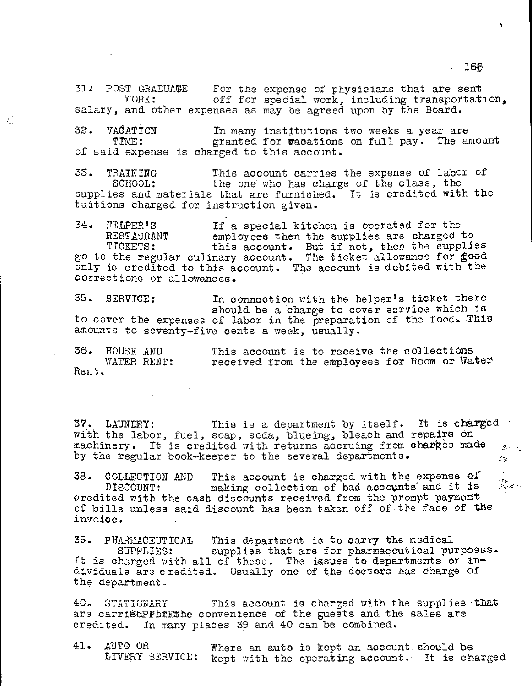$31.1$  POST GRADUATE For the expense of physicians that are sent WORK: off for special work, including transportation, salary, and other expenses as may be agreed upon by the Board.

32. VACATION In many institutions two weeks a year are<br>TIME: eranted for wacations on full pay. The a granted for wacations on full pay. The amount of said expense is charged to this account.

Ĺ

33. TRAINING This account carries the expense of labor of SCHOOL: the one who has charge of the class, the the one who has charge of the class, the supplies and materials that are furnished. It is credited with the tuitions charged for instruction given.

34. HELPER'S If a special kitchen is operated for the employees then the supplies are charged to TICKETS: this account. But if not, then the supplies go to the regular culinary account. The ticket allowance for good only is credited to this account. The account is debited with the corrections or allowances.

35. SERVICE: In connection with the helper's ticket there should be a 'charge to cover service which is to cover the expenses of labor in the preparation of the food. This amounts to seventy-five cents a week, usually.

| 36.    | HOUSE AND |             |  |  | This account is to receive the collections |  |  |                                               |
|--------|-----------|-------------|--|--|--------------------------------------------|--|--|-----------------------------------------------|
|        |           | WATER RENT: |  |  |                                            |  |  | received from the employees for Room or Water |
| Rei 7. |           |             |  |  |                                            |  |  |                                               |

37., LAUNDRY: This is a department by itself. It is charged with the labor, fuel, soap, soda, blueing, bleach and repairs on machinery. It is credited with returns accruing from charges made  $\mathcal{Z}(\mathcal{A})$  ,  $\mathcal{Z}(\mathcal{A})$ by the regular book-keeper to the several departments.  $\epsilon_{\rm g}$ 

38. COLLECTION AND This account is charged with the expense of<br>DISCOUNT: making collection of bad accounts and it is making collection of bad accounts and it is credited with the cash discounts received from the prompt payment of bills unless said discount has been taken off of the face of the invoice.

39. PHARMACEUTICAL This department is to carry the medical supplies that are for pharmaceutical purposes. It is charged with all of these. The issues to departments or individuals are credited. Usually one of the doctors has charge of the department.

40. STATIONARY This account is charged with the supplies that are carriSUPPDIEShe convenience of the guests and the sales are credited. In many places 39 and 40 can be combined. In many places 39 and 40 can be combined.

41. AUTO OR Where an auto is kept an account should be LIVERY SERVICE: kept with the operating account. It is cha kept with the operating account. It is charged

1s§

ŕ.

 $\mathbb{I}$  $\mathbb{Z}_{\mathbb{Z}}^{\mathbb{Z}}$  and  $\mathbb{Z}_{\mathbb{Z}}$  .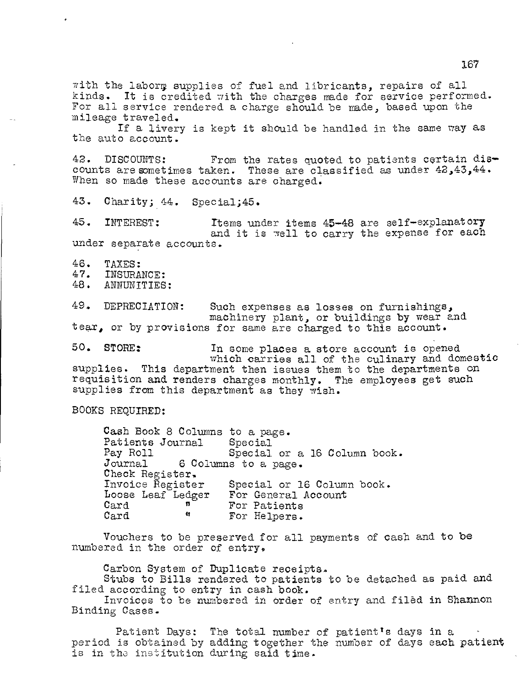with the laborg supplies of fuel and libricants, repairs of all kinds. It is credited with the charges made for service performed. For all service rendered a charge should be made, based upon the mileage traveled.

If a livery is kept it should be handled in the same way as the auto account.

42. DISCOUNTS: From the rates quoted to patients certain dis counts are sometimes taken. These are classified as under  $42,43,44$ . When so made these accounts are charged.

43. Charity; 44. Special;45.

45. INTEREST: Items under items 45-48 are self—explanatory and it is well to carry the expense for each under separate accounts.

46. TAXES:<br>47. INSURA

47. INSURANCE:<br>48. ANNINTTIES

ANNUNITIES:

49. DEPRECIATION: Such expenses as losses on furnishings, machinery plant, or buildings by wear and tear, or by provisions for same are charged to this account.

50. STORE: In some places a store account is opened which carries all of the culinary and domestic supplies. This department then issues them to the departments on requisition and renders charges monthly. The employees get such supplies from this department as they wish.

BOOKS REQUIRED:

Cash Book 8 Columns to a page.<br>Patients Journal Special Patients Journal<br>Pay Roll Pay Roll Special or a 16 Column book.<br>Journal 6 Columns to a page. 6 Columns to a page. Check Register.<br>Invoice Register Special or 16 Column book.<br>For General Account Loose Leaf Ledger<br>Card A Card  $\begin{array}{ccc} \text{or} & \text{or} \\ \text{Card} & \text{or} \\ \end{array}$  For Helpers. For Helpers.

Vouchers to be preserved for all payments of cash and to be numbered in the order of entry.

Carbon System of Duplicate receipts.

Stubs to Bills rendered to patients to be detached as paid and filed according to entry in cash book.

Invoices to be numbered in order of entry and filed in Shannon Binding Cases.

Patient Days: The total number of patient's days in a period is obtained by adding together the number of days each patient is in the institution during said time.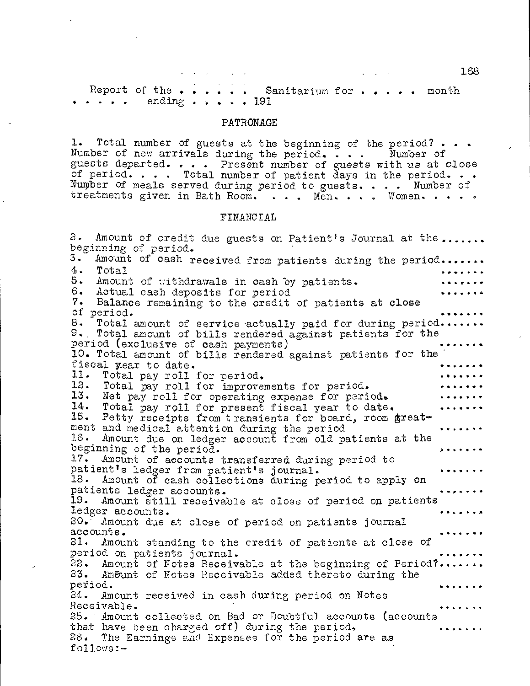168

Report of the  $\cdots$  . Sanitarium for  $\cdots$  . . . month ending  $\cdots$   $\cdots$  191

#### PATRONAGE

1. Total number of guests at the beginning of the period? . . Number of new arrivals during the period. . . guests departed. . . . Present number of guests of period.  $\cdots$  . Total number of patient days in the period.  $\cdots$ Number of meals served during period to guests. . . . Number of treatments given in Bath Room. . . . Men. . . . Women. Number of s with us at close

## FINANCIAL

2. Amount of credit due guests on Patient's Journal at the...... beginning of period. 3. Amount of cash received from patients during the period. 4. Total 4. Total<br>5. Amount of withdrawals in cash by patients.<br>6. Actual cash deposits for period 6. Actual cash deposits for period Balance remaining to the credit of patients at close of period. 8. Total amount of service actually paid for during period....... 9.. Total amount of bills rendered against patients for the period (exclusive of cash payments) 10. Total amount of bills rendered against patients for the fiscal year to date.<br>11. Total pay roll 11. Total pay roll for period.<br>12. Total rev roll for improver 12. Total pay roll for improvements for period.<br>13. Net pay roll for operating expense for peri 13. Net pay roll for operating expense for period. 14. Total pay roll for present fiscal year to date. 15. Petty receipts from transients for board, room greatment and medical attention during the period 16. Amount due on ledger account from old patients at the beginning of the period. 17. Amount of accounts transferred during period to patient's ledger from patient's journal.<br>18. Amount of cash collections during p Amount of cash collections during period to apply on patients ledger accounts. 19. Amount still receivable at close of period on patients ledger accounts. . . . . . <del>.</del> . 20. Amount due at close of period on patients journal accounts. 21. Amount standing to the credit of patients at close of period on patients journal. 22. Amount of Notes Receivable at the beginning of Period? 23. Amount of Notes Receivable added thereto during the period. period. O " 24. Amount received in cash during period on Notes Receivable. **\* • a •** 25. Amount collected on Bad or Doubtful accounts (accounts that have been charged off) during the period, *<u>......</u>* 26. The Earnings and Expenses for the period are as follows:—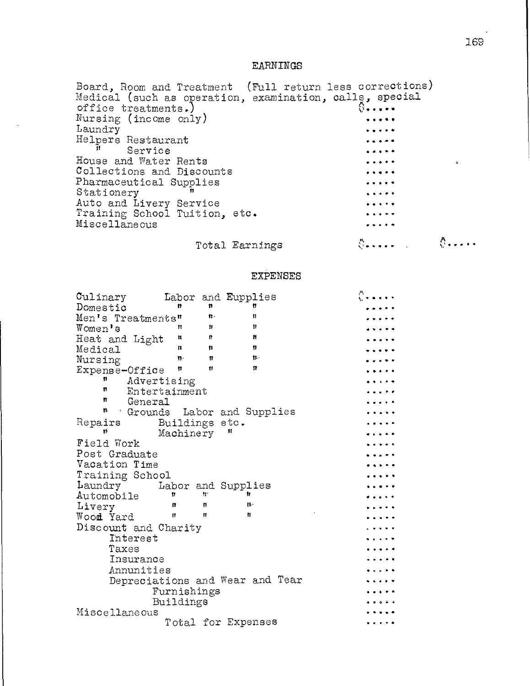# EARNINGS

| Board, Room and Treatment (Full return less corrections) |                                                                                                                 |  |
|----------------------------------------------------------|-----------------------------------------------------------------------------------------------------------------|--|
| Medical (such as operation, examination, calls, special  |                                                                                                                 |  |
| office treatments.)                                      | $8 \cdots$                                                                                                      |  |
| Nursing (income only)                                    | $\begin{array}{cccccccccccccc} \bullet & \bullet & \bullet & \bullet & \bullet & \bullet & \bullet \end{array}$ |  |
| Laundry                                                  | <b>*****</b>                                                                                                    |  |
| Helpers Restaurant                                       | $\bullet\bullet\bullet\bullet\bullet$                                                                           |  |
| Service                                                  |                                                                                                                 |  |
| House and Water Rents                                    | $\frac{1}{2}$                                                                                                   |  |
| Collections and Discounts                                | $\bullet\bullet\bullet\bullet\bullet\bullet$                                                                    |  |
| Pharmaceutical Supplies                                  | $\bullet$                                                                                                       |  |
| Stationery                                               | $\bullet$ $\bullet$ $\bullet$ $\bullet$                                                                         |  |
| Auto and Livery Service                                  | $\cdots$                                                                                                        |  |
| Training School Tuition, etc.                            |                                                                                                                 |  |
| Miscellaneous                                            |                                                                                                                 |  |
|                                                          |                                                                                                                 |  |

# Total Earnings

 $\sum_{i=1}^{N}$  and  $\sum_{i=1}^{N}$  and  $\sum_{i=1}^{N}$  and  $\sum_{i=1}^{N}$ 

# EXPENSES

| Culinary             |                |                | Labor and Eupplies              |  |
|----------------------|----------------|----------------|---------------------------------|--|
| Domestic             | n              | n              | Ħ                               |  |
| Men's Treatments"    |                | $\mathbf{r}$ . | 11                              |  |
| Women's              | Ħ              | 11             | 11                              |  |
| Heat and Light       | n              | $\mathbf{B}$   | Ħ                               |  |
| Medical              | $\mathbf{u}$   | n              | 11                              |  |
| Nursing              | 界.             | 11             | $\mathbf{p}$ .                  |  |
| Expense-Office       | n              | $\mathbf{H}$   | Ħ                               |  |
| n                    | Advertising    |                |                                 |  |
| Ħ                    | Entertainment  |                |                                 |  |
| n<br>General         |                |                |                                 |  |
| ħ                    |                |                | Crounds Labor and Supplies      |  |
| Repairs              | Buildings etc. |                |                                 |  |
|                      | Machinery      |                | 11                              |  |
| Field Work           |                |                |                                 |  |
| Post Graduate        |                |                |                                 |  |
| Vacation Time        |                |                |                                 |  |
| Training School      |                |                |                                 |  |
| Laundry              |                |                | Labor and Supplies              |  |
| Automobile           | Ħ              | Ħ.             | ir.                             |  |
| Livery               | n              | t              | $\mathbf{H}$                    |  |
| Wood Yard            | 11             | Ħ              | $\mathbf{r}$                    |  |
| Discount and Charity |                |                |                                 |  |
| Interest             |                |                |                                 |  |
| Taxes                |                |                |                                 |  |
| Insurance            |                |                |                                 |  |
| Annunities           |                |                |                                 |  |
|                      |                |                | Depreciations and Wear and Tear |  |
|                      |                |                |                                 |  |
|                      | Furnishings    |                |                                 |  |
|                      | Buildings      |                |                                 |  |
| Miscellaneous        |                |                |                                 |  |
|                      |                |                | Total for Expenses              |  |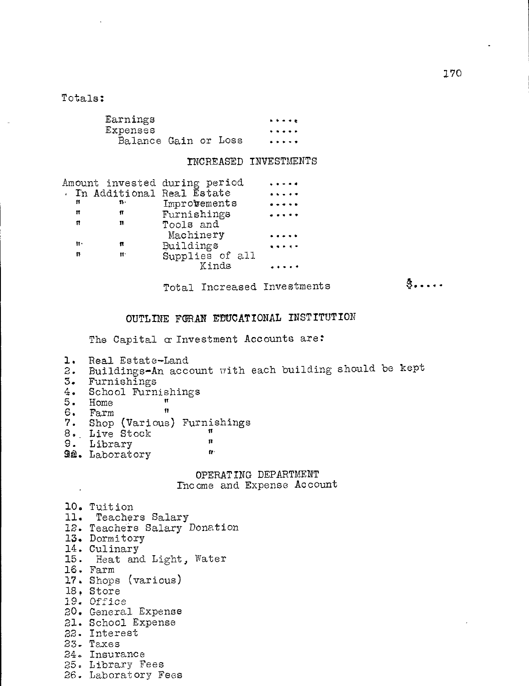# Totals:

| Earnings             |  | $\bullet\bullet\bullet\bullet\bullet$ |
|----------------------|--|---------------------------------------|
| Expenses             |  |                                       |
| Balance Gain or Loss |  | $\cdots$                              |

## INCREASED INVESTMENTS

|    |    | Amount invested during period |                      |
|----|----|-------------------------------|----------------------|
|    |    | . In Additional Real Estate   | $\cdots$             |
| Ħ  | т. | Improvements                  |                      |
| Ħ  | п  | Furnishings                   |                      |
| π  | n  | Tools and                     |                      |
|    |    | Machinery                     |                      |
| Ħ۰ | n  | Buildings                     | $\ddot{\phantom{a}}$ |
| n  | H. | Supplies of all               |                      |
|    |    | Kinds                         |                      |
|    |    |                               |                      |

Total Increased Investments

 $\ddot{\textbf{S}}$ ....

# OUTLINE FORAN EDUCATIONAL INSTITUTION

The Capital  $\alpha$  Investment Accounts are:

- 1. Real Estate-Land
- 2. Buildings-An account with each building should be kept
- 3. Furnishings
- 4. School Furnishings<br>5. Home
- $5.$  Home  $11.$ <br> $6.$  Farm  $11.$
- $6.$  Farm

 $\ddot{\phantom{a}}$ 

- 7. Shop (Various) Furnishings
- 8.. Live Stock 9. Library
- 
- **9a.** Laboratory

OPERATING DEPARTMENT

Income and Expense Account

| 10. Tuition                  |
|------------------------------|
|                              |
| 11. Teachers Salary          |
| 12. Teachers Salary Donation |
| 13. Dormitory                |
| 14. Culinary                 |
| 15. Heat and Light, Water    |
| 16. Farm                     |
| 17. Shops (various)          |
| 18. Store                    |
| 19. Office                   |
| 20. General Expense          |
| 21. School Expense           |
| 22. Interest                 |
| 23. Taxes                    |
| 24. Insurance                |
| 25. Library Fees             |
|                              |

26. Laboratory Fees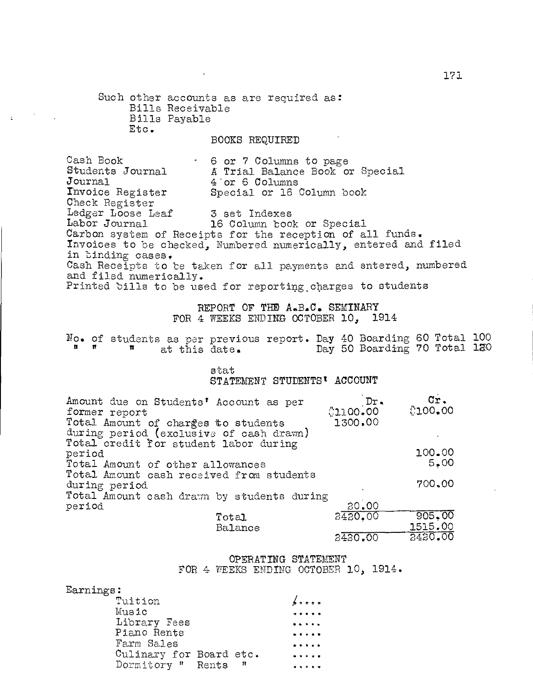Such other accounts as are required as: Bills Receivable Bills Payable Etc.

 $\pm$ 

# BOOKS REQUIRED

Cash Book 6 or 7 Columns to page<br>Students Journal 6 A Trial Balance Book of Students Journal A Trial Balance Book or Special<br>Journal 4 or 6 Columns Journal  $4$  or 6 Columns<br>Invoice Register Special or 16 Special or 16 Column book Check Register Ledger Loose Leaf 3 set Indexes<br>
Labor Journal 16 Column bool 16 Column book or Special Carbon system of Receipts for the reception of all funds. Invoices to be checked, Numbered numerically, entered and filed in binding cases, Cash Receipts to be taken for all payments and entered, numbered and filed numerically. Printed bills to be used for reporting, charges to students

> REPORT OF THE A.B.C. SEMINARY FOR 4 WEEKS ENDING OCTOBER 10, 1914

No. of students as per previous report. Day 40 Boarding 60 Total 100 " " at this date. Day 50 Boarding 70 Total 120

stat

STATEMENT STUDENTS' ACCOUNT

| Amount due on Students' Account as per<br>Dr.  | Cr.     |
|------------------------------------------------|---------|
| 0.1100.00<br>former report                     | 00.00   |
| 1300.00<br>Total Amount of charges to students |         |
| during period (exclusive of cash drawn)        |         |
| Total credit for student labor during          |         |
| period                                         | 100.00  |
| Total Amount of other allowances               | 5.00    |
| Total Amount cash received from students       |         |
| during period                                  | 700.00  |
| Total Amount cash drawn by students during     |         |
| 20.00<br>period                                |         |
| 2420.00<br>Total                               | 905.00  |
| Balance                                        | 1515.00 |
| 3430.00                                        | 2420.00 |

OPERATING STATEMENT FOR 4 WEEKS ENDING OCTOBER 10, 1914.

| Earnings:               |           |                                                                                                             |
|-------------------------|-----------|-------------------------------------------------------------------------------------------------------------|
| Tuition                 |           | $\sqrt{ }$                                                                                                  |
| Music                   |           | .                                                                                                           |
| Library Fees            |           | $\frac{1}{2}$                                                                                               |
| Piano Rents             |           | .                                                                                                           |
| Farm Sales              |           | .                                                                                                           |
| Culinary for Board etc. |           | $\begin{array}{cccccccccc} \bullet & \bullet & \bullet & \bullet & \bullet & \bullet & \bullet \end{array}$ |
| Dormitory " Rents       | $\sim$ 11 | .                                                                                                           |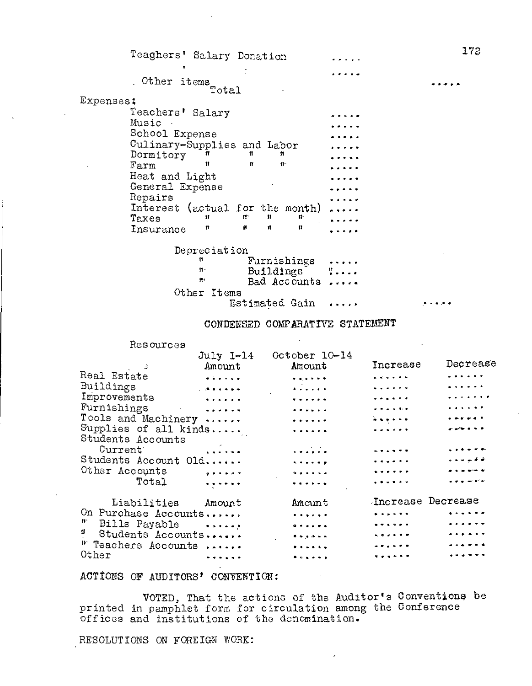| Teaghers' Salary Donation                                |                 | 172 |
|----------------------------------------------------------|-----------------|-----|
|                                                          |                 |     |
| Other items<br>Total                                     |                 |     |
| Expenses;                                                |                 |     |
| Teachers' Salary                                         |                 |     |
| Music                                                    |                 |     |
| School Expense                                           |                 |     |
| Culinary-Supplies and Labor                              |                 |     |
| Dormitory<br>n<br>п<br>п                                 |                 |     |
| Ħ<br>U<br>Farm<br>$\mathbf{p}$                           |                 |     |
| Heat and Light                                           |                 |     |
| General Expense                                          |                 |     |
| Repairs                                                  |                 |     |
| (actual for the month)<br>Interest                       |                 |     |
| n<br>$\mathbf{H}^{\star}$<br>$\mathbf{F}$<br>Taxes<br>11 |                 |     |
| 11<br>Ħ<br>n<br>11<br>Insurance                          |                 |     |
| Depreciation                                             |                 |     |
| Furnishings<br>11                                        |                 |     |
| Buildings<br>$\mathbf{n}$                                | $\frac{\pi}{2}$ |     |
| f۲۲<br>Bad Accounts                                      |                 |     |
| Other<br>Items                                           |                 |     |
| Estimated Gain                                           |                 |     |
| CONDENSED COMPARATIVE STATEMENT                          |                 |     |

#### CONDENSED COMPARATIVE STATEMENT

|                                                                      | July 1-14                                                                                                             | October 10-14                                                                        |                                                                                                                                                                                                                                                                                                                                 |                                                                                                                                                                                                                                       |
|----------------------------------------------------------------------|-----------------------------------------------------------------------------------------------------------------------|--------------------------------------------------------------------------------------|---------------------------------------------------------------------------------------------------------------------------------------------------------------------------------------------------------------------------------------------------------------------------------------------------------------------------------|---------------------------------------------------------------------------------------------------------------------------------------------------------------------------------------------------------------------------------------|
|                                                                      | Amount                                                                                                                | Amount                                                                               | Increase                                                                                                                                                                                                                                                                                                                        | Decrease                                                                                                                                                                                                                              |
| Real Estate                                                          | $\begin{array}{cccccccccc} \bullet & \bullet & \bullet & \bullet & \bullet & \bullet & \bullet & \bullet \end{array}$ | $\mathbf{A} = \mathbf{A} \mathbf{A} + \mathbf{A} \mathbf{A} + \mathbf{A} \mathbf{A}$ | $\mathbf{A} = \mathbf{A} + \mathbf{A} + \mathbf{A}$                                                                                                                                                                                                                                                                             | .                                                                                                                                                                                                                                     |
| Buildings                                                            | $\mathbf{r}$ . As a set of $\mathbf{r}$                                                                               |                                                                                      | . . <i>.</i>                                                                                                                                                                                                                                                                                                                    | $\frac{1}{2}$ , $\frac{1}{2}$ , $\frac{1}{2}$ , $\frac{1}{2}$ , $\frac{1}{2}$                                                                                                                                                         |
| Improvements                                                         |                                                                                                                       |                                                                                      | .                                                                                                                                                                                                                                                                                                                               | .                                                                                                                                                                                                                                     |
| Furnishings<br>$\mathcal{L}_{\rm{max}}$ and $\mathcal{L}_{\rm{max}}$ | $\mathcal{L} = \mathcal{L} \mathcal{L} + \mathcal{L} \mathcal{L} + \mathcal{L} \mathcal{L}$                           |                                                                                      | $\frac{1}{2}$                                                                                                                                                                                                                                                                                                                   | $\frac{1}{2} \left( \frac{1}{2} \right) \left( \frac{1}{2} \right) \left( \frac{1}{2} \right) \left( \frac{1}{2} \right) \left( \frac{1}{2} \right) \left( \frac{1}{2} \right)$                                                       |
| Tools and Machinery                                                  |                                                                                                                       | .                                                                                    | $\frac{1}{2} \left( \begin{array}{ccc} 1 & 0 & 0 & 0 & 0 & 0 \\ 0 & 0 & 0 & 0 & 0 & 0 \\ 0 & 0 & 0 & 0 & 0 & 0 \\ 0 & 0 & 0 & 0 & 0 & 0 \\ 0 & 0 & 0 & 0 & 0 & 0 \\ 0 & 0 & 0 & 0 & 0 & 0 \\ 0 & 0 & 0 & 0 & 0 & 0 \\ 0 & 0 & 0 & 0 & 0 & 0 \\ 0 & 0 & 0 & 0 & 0 & 0 \\ 0 & 0 & 0 & 0 & 0 & 0 & 0 \\ 0 & 0 & 0 & 0 & 0 & 0 & 0$ | $\ddot{\phantom{a}}$ . The second contract of the second contract of the second contract of the second contract of the second contract of the second contract of the second contract of the second contract of the second contract of |
| Supplies of all kinds                                                |                                                                                                                       | .                                                                                    | .                                                                                                                                                                                                                                                                                                                               | -----                                                                                                                                                                                                                                 |
| Students Accounts                                                    |                                                                                                                       |                                                                                      |                                                                                                                                                                                                                                                                                                                                 |                                                                                                                                                                                                                                       |
| Current <sup>*</sup>                                                 | .                                                                                                                     |                                                                                      | .                                                                                                                                                                                                                                                                                                                               |                                                                                                                                                                                                                                       |
| Students Account Old                                                 |                                                                                                                       | <b>Kalendar</b>                                                                      |                                                                                                                                                                                                                                                                                                                                 | نقاقات ساندان                                                                                                                                                                                                                         |
| Other Accounts                                                       |                                                                                                                       |                                                                                      | .                                                                                                                                                                                                                                                                                                                               |                                                                                                                                                                                                                                       |
| Total                                                                |                                                                                                                       | .                                                                                    |                                                                                                                                                                                                                                                                                                                                 |                                                                                                                                                                                                                                       |
| Liabilities                                                          | Amount                                                                                                                | Amount                                                                               | Increase Decrease                                                                                                                                                                                                                                                                                                               |                                                                                                                                                                                                                                       |
| On Purchase Accounts                                                 |                                                                                                                       | . . <u>.</u> .                                                                       | $\cdots$                                                                                                                                                                                                                                                                                                                        | .                                                                                                                                                                                                                                     |
| $\mathbf{r}$<br>Bills Payable                                        |                                                                                                                       |                                                                                      | .                                                                                                                                                                                                                                                                                                                               | $\frac{1}{2}$                                                                                                                                                                                                                         |
| Students Accounts                                                    |                                                                                                                       | $\bullet \bullet \bullet \bullet \bullet \bullet \bullet$                            | .                                                                                                                                                                                                                                                                                                                               | . <i>.</i>                                                                                                                                                                                                                            |
| <sup>#</sup> Teachers Accounts                                       |                                                                                                                       |                                                                                      | . <b>.</b> .                                                                                                                                                                                                                                                                                                                    | .                                                                                                                                                                                                                                     |
| Other                                                                | ******                                                                                                                | .                                                                                    | the projection                                                                                                                                                                                                                                                                                                                  |                                                                                                                                                                                                                                       |

ACTIONS OF AUDITORS' CONVENTION:

VOTED; That the actions of the Auditor's printed in pamphlet form for circulation among the offices and institutions of the denomination. Conventions Conference be

RESOLUTIONS ON FOREIGN WORK:

Resources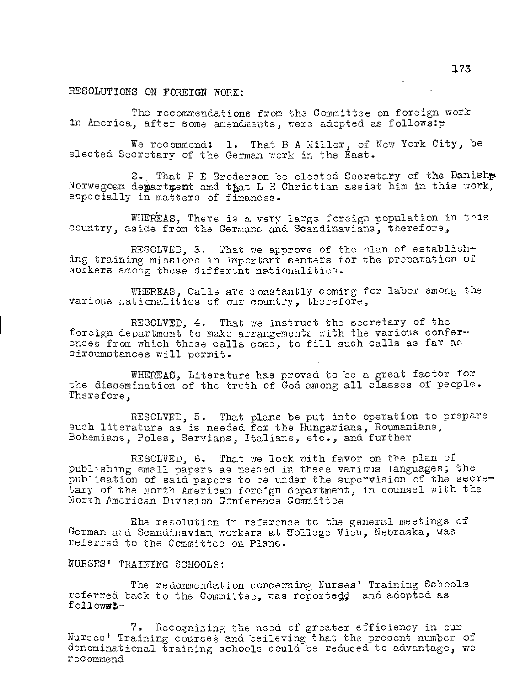# RESOLUTIONS ON FOREIGN WORK:

The recommendations from the Committee on foreign work in America, after some amendments, were adopted as follows: $\mathfrak{p}$ 

We recommend: 1. That B A Miller, of New York City, be elected Secretary of the German work in the East.

2., That P E Broderson be elected Secretary of the Danish Norwegoam department amd that L H Christian assist him in this work, especially in matters of finances.

WHEREAS, There is a very large foreign population in this country, aside from the Germans and Scandinavians, therefore,

RESOLVED, 3. That we approve of the plan of establishing training missions in important centers for the preparation of workers among these different nationalities.

WHEREAS, Calls are constantly coming for labor among the various nationalities of our country, therefore,

RESOLVED, 4. That we instruct the secretary of the foreign department to make arrangements with the various confer ences from which these calls come, to fill such calls as far as circumstances will permit.

WHEREAS, Literature has proved to be a great factor for the dissemination of the truth of God among all classes of people. Therefore,

RESOLVED, 5. That plans be put into operation to prepare such literature as is needed for the Hungarians, Roumanians, Bohemians, Poles, Servians, Italians, etc., and further

RESOLVED, 6. That we look with favor on the plan of publishing small papers as needed in these various languages; the publication of said papers to be under the supervision of the secre tary of the North American foreign department, in counsel with the North American Division Conference Committee

The resolution in reference to the general meetings of German and Scandinavian workers at ffollege View, Nebraska, was referred to the Committee on Plans.

## NURSES' TRAINING SCHOOLS:

The redommendation concerning Nurses' Training Schools referred back to the Committee, was reporteg4 and adopted as followwl-

7. Recognizing the need of greater efficiency in our Nurses' Training courses and believing that the present number of denominational training schools could be reduced to advantage, we recommend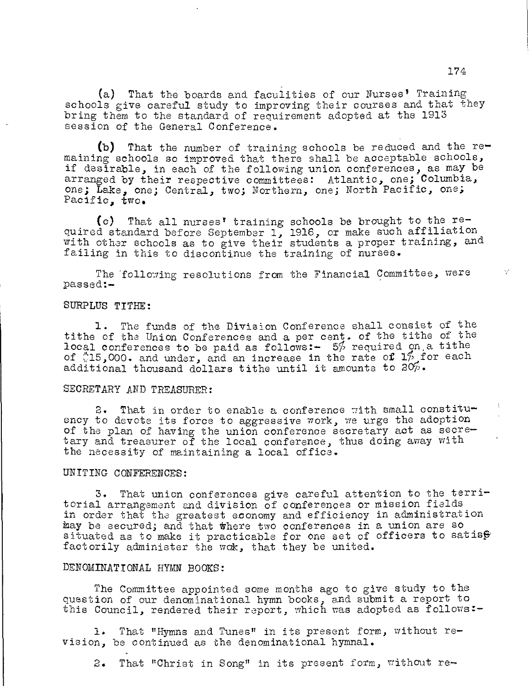(a) That the boards and faculities of our Nurses' Training schools give careful study to improving their courses and that they bring them to the standard of requirement adopted at the 1913 session of the General Conference.

(b) That the number of training schools be reduced and the  $re$ maining schools so improved that there shall be acceptable schools, if desirable, in each of the following union conferences, as may be arranged by their respective committees: Atlantic, one; Columbia, one; Lake, one; Central, two; Northern, one; North Pacific, one; Pacific, two.

(c) That all nurses' training schools be brought to the required standard before September 1, 1916, or make such affiliation with other schools as to give their students a proper training, and failing in this to discontinue the training of nurses.

The following resolutions from the Financial Committee, were passed:-

## SURPLUS TITHE:

1. The funds of the Division Conference shall consist of the tithe of the Union Conferences and a per cent. of the tithe of the local conferences to be paid as follows:- 5% required on a tithe of  $15,000$ . and under, and an increase in the rate of  $1\frac{6}{7}$  for each additional thousand dollars tithe until it amounts to  $20\%$ .

## SECRETARY AND TREASURER:

2. That in order to enable a conference with small constituency to devote its force to aggressive  $\pi$ ork, we urge the adoption of the plan of having the union conference secretary act as secretary and treasurer of the local conference, thus doing away with the necessity of maintaining a local office.

## UNITING CONFERENCES:

3. That union conferences give careful attention to the territorial arrangement and division of conferences or mission fields in order that the greatest economy and efficiency in administration kay be secured; and that there two conferences in a union are so situated as to make it practicable for one set of officers to satisf factorily administer the wok, that they be united.

#### DENOMINATIONAL HYMN BOOKS:

The Committee appointed some months ago to give study to the question of our denominational hymn books, and submit a report to this Council, rendered their report, which was adopted as follows: $-$ 

1. That "Hymns and Tunes" in its present form, without revision, be continued as the denominational hymnal.

2. That "Christ in Song" in its present form, without re-

Y.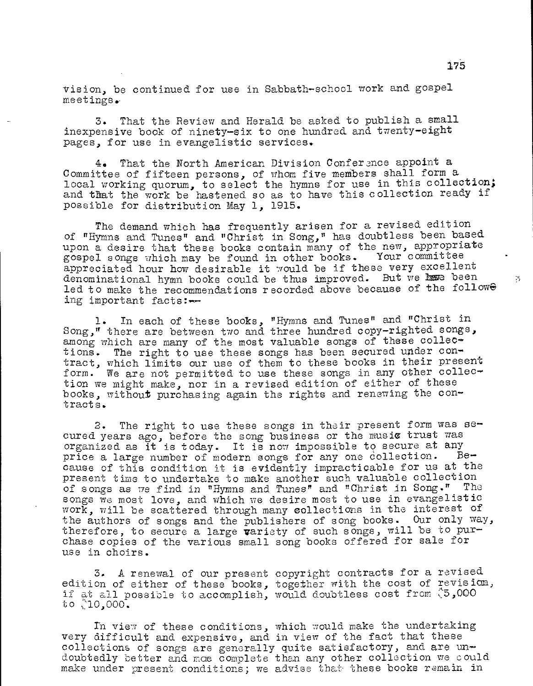vision, be continued for use in Sabbath-school work and gospel meetings.

3. That the Review and Herald be asked to publish a small inexpensive book of ninety-six to one hundred and twenty-eight pages, for use in evangelistic services.

4. That the North American Division Conference appoint a Committee of fifteen persons, of whom five members shall form a local working quorum, to select the hymns for use in this collection; and that the work be hastened so as to have this collection ready if possible for distribution May 1, 1915.

The demand which has frequently arisen for a revised edition of "Hymns and Tunes" and "Christ in Song," has doubtless been based upon a desire that these books contain many of the new, appropriate<br>gospel songs which may be found in other books. Your committee gospel songs which may be found in other books. appreciated hour how desirable it would be if these very excellent denominational hymn books could be thus improved. But we have been led to make the recommendations recorded above because of the followe ing important facts:-

1. In each of these books, "Hymns and Tunes" and "Christ in Song," there are between two and three hundred copy-righted songs, among which are many of the most valuable songs of these collections. The right to use these songs has been secured under contract, which limits our use of them to these books in their present form. We are not permitted to use these songs in any other collection we might make, nor in a revised edition of either of these books, without purchasing again the rights and renewing the contracts.

2. The right to use these songs in their present form was secured years ago, before the song business or the music trust was organized as it is today. It is now impossible to secure at any price a large number of modern somes for any one collection. Beprice a large number of modern songs for any one collection. cause of this condition it is evidently impracticable for us at the present time to undertake to make another such valuable collection of songs as we find in "Hymns and Tunes" and "Christ in Song." The songs we most love, and which we desire most to use in evangelistic work, will be scattered through many collections in the interest of the authors of songs and the publishers of song books. Our only way, therefore, to secure a large variety of such songs, will be to purchase copies of the various small song books offered for sale for use in choirs.

3. A renewal of our present copyright contracts for a revised edition of either of these books, together with the cost of revision, if at all possible to accomplish, would doubtless cost from ("5,000 to ,10,000.

In view of these conditions, which would make the undertaking very difficult and expensive, and in view of the fact that these collections of songs are generally quite satisfactory, and are undoubtedly better and mce complete than any other collection we could make under present conditions; we advise that these books remain in

 $\mathbb{R}^n$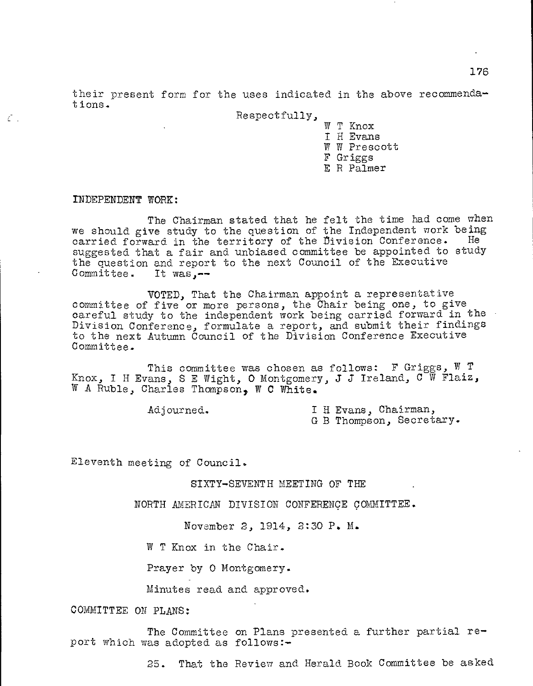Respectfully,

W T Knox I H Evans W W Prescott F Griggs E R Palmer

#### INDEPENDENT WORK:

 $\zeta$  .

The Chairman stated that he felt the time had come when we should give study to the question of the Independent work being<br>carried forward in the territory of the Division Conference. He carried forward in the territory of the Division Conference. suggested that a fair and unbiased committee be appointed to study the question and report to the next Council of the Executive Committee. It was.-- $Commentitee.$ 

VOTED, That the Chairman appoint a representative committee of five or more persons, the Chair being one, to give careful study to the independent work being carried forward in the Division Conference, formulate a report, and submit their findings to the next Autumn Council of the Division Conference Executive Committee.

This committee was chosen as follows: F Griggs,  $W$  T Knox, I H Evans, S E Wight, O Montgomery, J J Ireland,  $C^W$  Flaiz, W A Ruble, Charles Thompson, W C White.

Adjourned. I H Evans, Chairman,

G B Thompson, Secretary.

Eleventh meeting of Council.

SIXTY-SEVENTH MEETING OF THE

NORTH AMERICAN DIVISION CONFERENCE COMMITTEE.

November 2, 1914, 2:30 P. M.

W T Knox in the Chair.

Prayer by 0 Montgomery.

Minutes read and approved.

COMMITTEE ON PLANS:

The Committee on Plans presented a further partial report which was adopted as follows:-

25. That the Review and Herald Book Committee be asked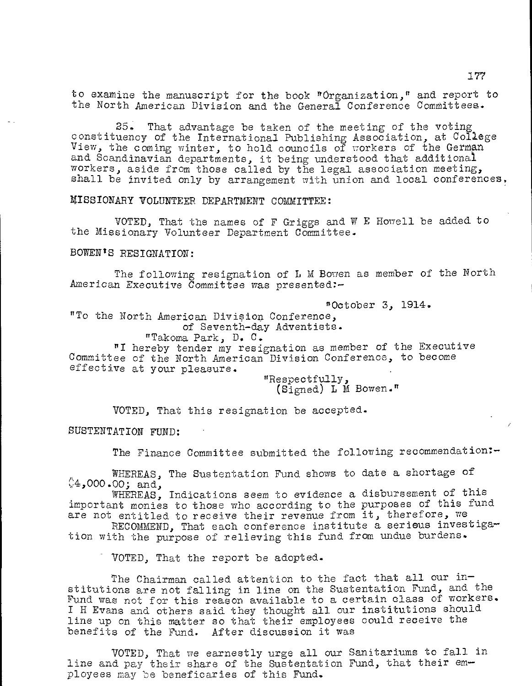to examine the manuscript for the book "Organization," and report to the North American Division and the General Conference Committees,.

25. That advantage be taken of the meeting of the voting constituency of the International Publishing Association, at College View, the coming winter, to hold councils of workers of the German and Scandinavian departments, it being understood that additional workers, aside from those called by the legal association meeting, shall be invited only by arrangement with union and local conferences,

MISSIONARY VOLUNTEER DEPARTMENT COMMITTEE:

VOTED, That the names of F Griggs and W E Howell be added to the Missionary Volunteer Department Committee.

BOWEN'S RESIGNATION:

The following resignation of L M Bowen as member of the North American Executive Committee was presented:-

"October 3, 1914. "To the North American Division Conference, of Seventh-day Adventists. "Takoma Park, D. C. "I hereby tender my resignation as member of the Executive Committee of the North American Division Conference, to become effective at your pleasure. "Respectfully,

(Signed) L M Bowen."

VOTED, That this resignation be accepted.

SUSTENTATION FUND:

The Finance Committee submitted the following recommendation:-

WHEREAS, The Sustentation Fund shows to date a shortage of  $$4,000.00; and,$ 

WHEREAS, Indications seem to evidence a disbursement of this important monies to those who according to the purposes of this fund are not entitled to receive their revenue from it, therefore, we

RECOMMEND, That each conference institute a serious investigation with the purpose of relieving this fund from undue burdens.

VOTED, That the report be adopted.

The Chairman called attention to the fact that all our institutions are not falling in line on the Sustentation Fund, and the Fund was not for this reason available to a certain class of workers. I H Evans and others said they thought all our institutions should line up on this matter so that their employees could receive the benefits of the Fund. After discussion it was

VOTED, That we earnestly urge all our Sanitariums to fall in line and pay their share of the Sustentation Fund, that their employees may be beneficaries of this Fund.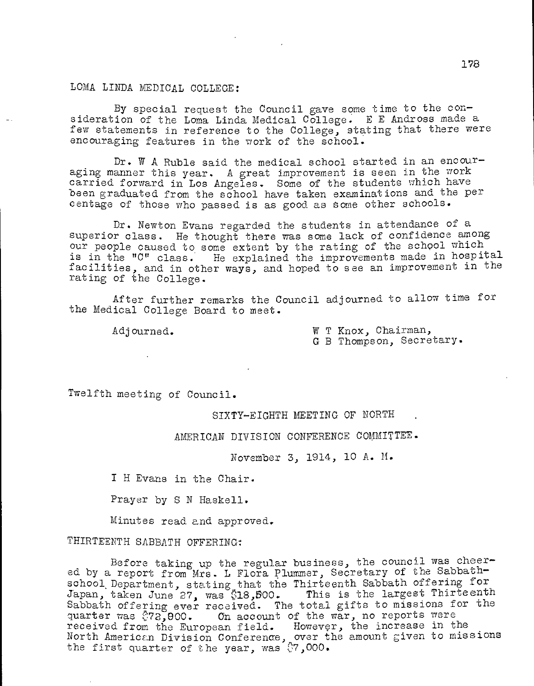## LOMA LINDA MEDICAL COLLEGE:

By special request the Council gave some time to the consideration of the Loma Linda Medical College. E E Andross made a few statements in reference to the College, stating that there were encouraging features in the work of the school.

Dr. W A Ruble said the medical school started in an encouraging manner this year. A great improvement is seen in the work carried forward in Los Angeles. Some of the students which have been graduated from the school have taken examinations and the per centage of those who passed is as good as some other schools.

Dr. Newton Evans regarded the students in attendance of a superior class. He thought there was some lack of confidence among our people caused to some extent by the rating of the school which is in the "C" class. He explained the improvements made in hospital facilities, and in other ways, and hoped to see an improvement in the rating of the College.

After further remarks the Council adjourned to allow time for the Medical College Board to meet.

Adjourned. W T Knox, Chairman, G B Thompson, Secretary.

Twelfth meeting of Council.

SIXTY-EIGHTH MEETING OF NORTH

AMERICAN DIVISION CONFERENCE COMMITTEE.

November 3, 1914, 10 A. M.

I H Evans in the Chair.

Prayer by S N Haskell.

Minutes read and approved.

THIRTEENTH SABBATH OFFERING:

Before taking up the regular business, the council was cheered by a report from Mrs. L Flora Plummer, Secretary of the Sabbathschool Department, stating that the Thirteenth Sabbath offering for Japan, taken June 27, was \$18,500. This is the largest Thirteenth Sabbath offering ever received. The total gifts to missions for the quarter was  $272,000$ . On account of the war, no reports were received from the European field. However, the increase in the North American Division Conference, over the amount given to missions the first quarter of the year, was  $\S$ 7,000.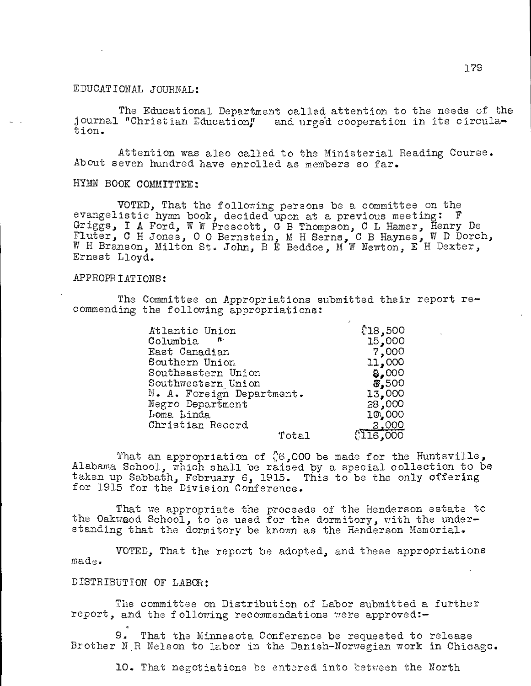## EDUCATIONAL JOURNAL:

The Educational Department called attention to the needs of the journal "Christian Education," and urged cooperation in its circulation.

Attention was also called to the Ministerial Reading Course. About seven hundred have enrolled as members so far.

## HYMN BOOK COMMITTEE:

VOTED, That the following persons be a committee on the evangelistic hymn book, decided upon at a previous meeting: F Griggs, I A Ford, W W Prescott, G B Thompson, C L Hamer, Henry De Fluter, C H Jones, 0 0 Bernstein, M H Gems, C B Haynes, W D Dorch, W H Branson, Milton St. John, B E Beddoe, M W Newton, E H Dexter, Ernest Lloyd.

## APPROPRIATIONS:

The Committee on Appropriations submitted their report recommending the following appropriations:

| Atlantic Union                 | \$18,500 |
|--------------------------------|----------|
| $\texttt{Column}$ $\texttt{m}$ | 15,000   |
| East Canadian                  | 7,000    |
| Southern Union                 | 11,000   |
| Southeastern Union             | 8,000    |
| Southwestern Union             | 3,500    |
| N. A. Foreign Department.      | 13,000   |
| Negro Department               | 38,000   |
| Loma Linda                     | 10,000   |
| Christian Record               | 2,000    |
| Total                          | 216,000  |

That an appropriation of  $\degree$ 6,000 be made for the Huntsville, Alabama School, which shall be raised by a special collection to be taken up Sabbath, February 6, 1915. This to be the only offering for 1915 for the Division Conference.

That we appropriate the proceeds of the Henderson estate to the Oakwood School, to be used for the dormitory, with the understanding that the dormitory be known as the Henderson Memorial.

made. VOTED, That the report be adopted, and these appropriations

## DISTRIBUTION OF LABOR:

The committee on Distribution of Labor submitted a further report, and the following recommendations were approved:-

9. That the Minnesota Conference be requested to release Brother N.R Nelson to labor in the Danish-Norwegian work in Chicago.

10. That negotiations be entered into between the North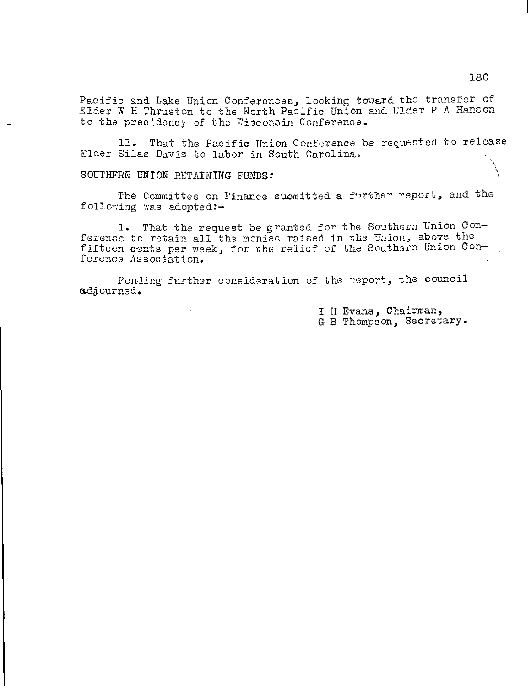Pacific and Lake Union Conferences, looking toward the transfer of Elder W H Thruston to the North Pacific Union and Elder P A Hanson to the presidency of the Wisconsin Conference.

11. That the Pacific Union Conference be requested to release Elder Silas Davis to labor in South Carolina.

SOUTHERN UNION RETAINING FUNDS:

The Committee on Finance submitted a further report, and the following was adopted:-

1. That the request be granted for the Southern Union Con ference to retain all the monies raised in the Union, above the fifteen cents per week, for the relief of the Southern Union Con ference Association.

Fending further consideration of the report, the council adjourned.

> I H Evans, Chairman, G B Thompson, Secretary.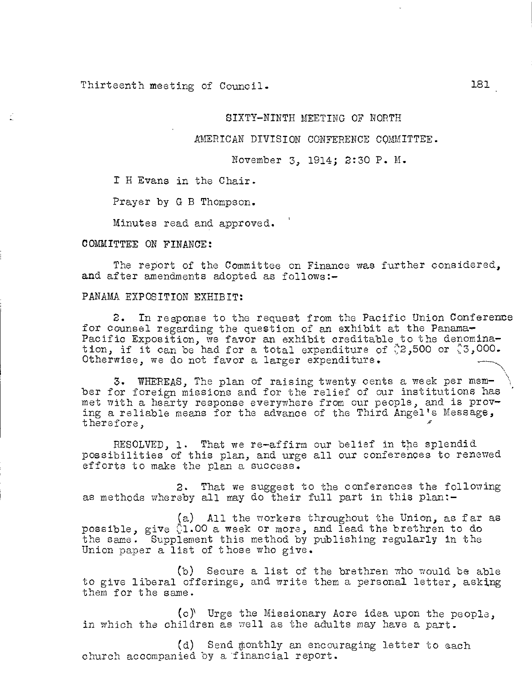Thirteenth meeting of Council. 181

## SIXTY-NINTH MEETING OF NORTH

## AMERICAN DIVISION CONFERENCE COMMITTEE.

#### November 3, 1914; 2:30 P. M.

H Evans in the Chair.

Prayer by G B Thompson.

Minutes read and approved.

#### COMMITTEE ON FINANCE:

The report of the Committee on Finance was further considered, and after amendments adopted as follows:-

## PANAMA EXPOSITION EXHIBIT:

2. In response to the request from the Pacific Union Conference for counsel regarding the question of an exhibit at the Panama-Pacific Exposition, we favor an exhibit creditable to the denomination, if it can be had for a total expenditure of  $2,500$  or  $3,000$ . Otherwise, we do not favor a larger expenditure.

3. WHEREAS, The plan of raising twenty cents a week per member for foreign missions and for the relief of our institutions has met with a hearty response everywhere from our people, and is proving a reliable means for the advance of the Third Angel's Message, therefore,

RESOLVED, 1. That we re-affirm our belief in the splendid possibilities of this plan, and urge all our conferences to renewed efforts to make the plan a success.

2. That we suggest to the conferences the following as methods whereby all may do their full part in this plan:-

(a) All the workers throughout the Union, as far as possible, give  $\Diamond 1.00$  a week or more, and lead the brethren to do the same. Supplement this method by publishing regularly in the Union paper a list of those who give.

(b) Secure a list of the brethren who would be able to give liberal offerings, and write them a personal letter, asking them for the same.

(c)" Urge the Missionary Acre idea upon the people, in which the children as well as the adults may have a part.

(d) Send monthly an encouraging letter to each church accompanied by a financial report.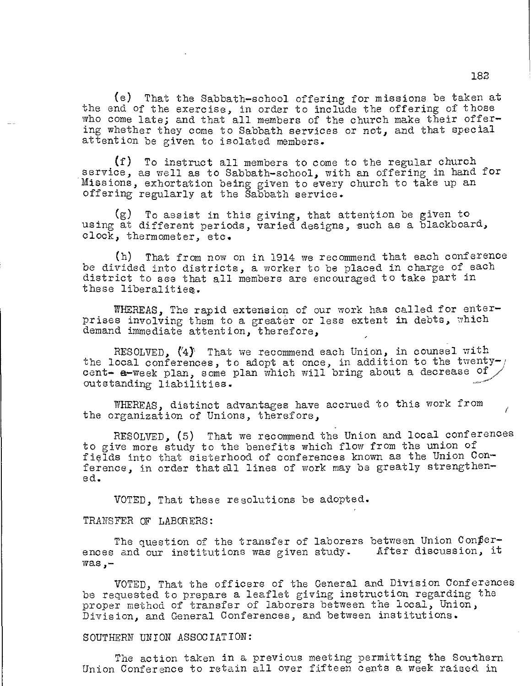(e) That the Sabbath-school offering for missions be taken at the end of the exercise, in order to include the offering of those who come late; and that all members of the church make their offering whether they come to Sabbath services or not, and that special attention be given to isolated members.

(f) To instruct all members to come to the regular church service, as well as to Sabbath-school, with an offering in hand for Missions, exhortation being given to every church to take up an offering regularly at the Sabbath service.

(g) To assist in this giving, that attention be given to using at different periods, varied designs, such as a blackboard, clock, thermometer, etc.

(h) That from now on in 1914 we recommend that each conference be divided into districts, a worker to be placed in charge of each district to see that all members are encouraged to take part in these liberalities.

WHEREAS. The rapid extension of our work has called for enterprises involving them to a greater or less extent in debts, which demand immediate attention, therefore,

RESOLVED,  $(4)$  That we recommend each Union, in counsel with the local conferences, to adopt at once, in addition to the twenty- $/$ cent- a-week plan, some plan which will bring about a decrease of outstanding liabilities.

WHEREAS, distinct advantages have accrued to this work from the organization of Unions, therefore,

RESOLVED, (5) That we recommend the Union and local conferences to give more study to the benefits which flow from the union of fields into that sisterhood of conferences known as the Union Conference, in order that all lines of work may be greatly strengthened.

VOTED, That these resolutions be adopted.

## TRANSFER OF LABORERS:

The question of the transfer of laborers between Union Conferences and our institutions was given study. After discussion, it was,-

VOTED, That the officers of the General and Division Conferences be requested to prepare a leaflet giving instruction regarding the proper method of transfer of laborers between the local, Union, Division, and General Conferences, and between institutions.

### SOUTHERN UNION ASSOCIATION:

The action taken in a previous meeting permitting the Southern Union Conference to retain all over fifteen cents a week raised in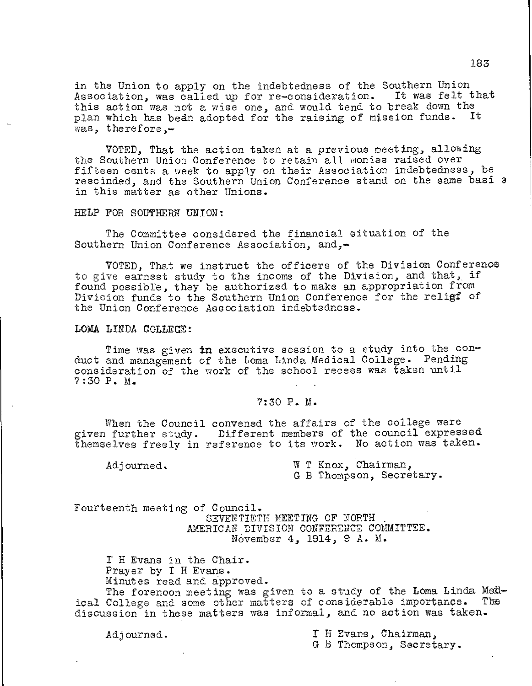in the Union to apply on the indebtedness of the Southern Union Association, was called up for re—consideration. It was felt that this action was not a wise one, and would tend to break down the plan which has been adopted for the raising of mission funds. It was, therefore,—

VOTED, That the action taken at a previous meeting, allowing the Southern Union Conference to retain all monies raised over fifteen cents a week to apply on their Association indebtedness, be rescinded, and the Southern Union Conference stand on the same basi s in this matter as other Unions.

HELP FOR SOUTHERN UNION:

The Committee considered the financial situation of the Southern Union Conference Association, and,—

VOTED, That we instruct the officers of the Division Conference to give earnest study to the income of the Division, and that, if found possible, they be authorized to make an appropriation from Division funds to the Southern Union Conference for the religf of the Union Conference Association indebtedness.

## LOMA LINDA COLLEGE:

Time was given in executive session to a study into the conduct and management of the Loma Linda Medical College. Pending consideration of the work of the school recess was taken until 7:30 P. M.

## 7:30 P. M.

When the Council convened the affairs of the college were given further study. Different members of the council expressed themselves freely in reference to its work. No action was taken.

Adjourned. W T Knox, Chairman, G B Thompson, Secretary.

Fourteenth meeting of Council. SEVENTIETH MEETING OF NORTH AMERICAN DIVISION CONFERENCE COMMITTEE. November 4, 1914, 9 A. M.

T H Evans in the Chair. Prayer by I H Evans. Minutes read and approved.

The forenoon meeting was given to a study of the Loma Linda Medical College and some other matters of considerable importance. The discussion in these matters was informal, and no action was taken.

Adjourned. T H Evans, Chairman, G B Thompson, Secretary.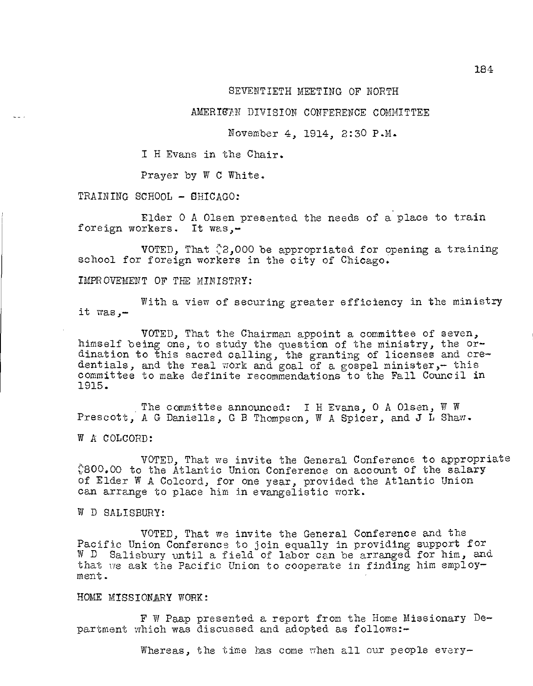## SEVENTIETH MEETING OF NORTH

#### AMERICAN DIVISION CONFERENCE COMMITTEE

## November 4, 1914, 2:30 P.M.

I H Evans in the Chair.

Prayer by W C White.

TRAINING SCHOOL - SHICAGO:

Elder 0 A Olsen presented the needs of a place to train foreign workers. It was,-

VOTED, That  $\& 2,000$  be appropriated for opening a training school for foreign workers in the city of Chicago.

IMPROVEMENT OF THE MINISTRY:

it was,- With a view of securing greater efficiency in the ministry

VOTED, That the Chairman appoint a committee of seven, himself being one, to study the question of the ministry, the ordination to this sacred calling, the granting of licenses and credentials, and the real work and goal of a gospel minister,- this committee to make definite recommendations to the Fall Council in 1915.

The committee announced: I H Evans, 0 A Olsen, W W Prescott, A G Daniells, G B Thompson, W A Spicer, and J L Shaw.

W A COLCORD:

VOTED, That we invite the General Conference to appropriate 800.00 to the Atlantic Union Conference on account of the salary of Elder W A Colcord, for one year, provided the Atlantic Union can arrange to place him in evangelistic work.

W D SALISBURY:

VOTED, That we invite the General Conference and the Pacific Union Conference to join equally in providing support for W D Salisbury until a field of labor can be arranged for him, and that we ask the Pacific Union to cooperate in finding him employment.

## HOME MISSIONARY WORK:

F W Paap presented a report from the Home Missionary Department which was discussed and adopted as follows:-

Whereas, the time has come when all our people every-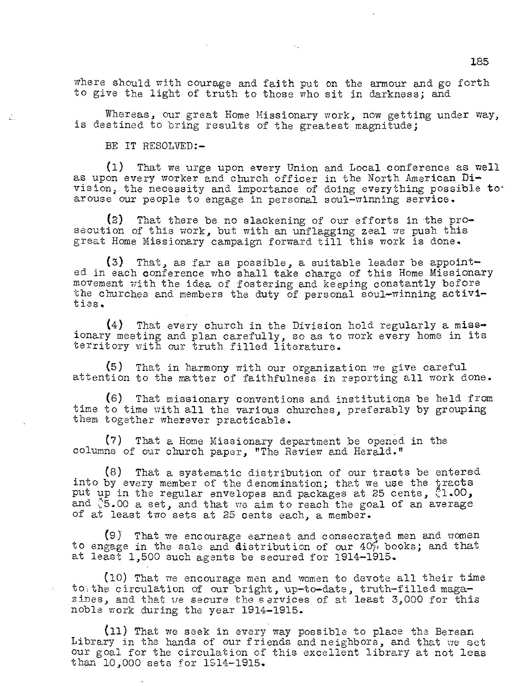where should with courage and faith put on the armour and go forth to give the light of truth to those who sit in darkness; and

Whereas, our great Home Missionary work, now getting under way, is destined to bring results of the greatest magnitude;

BE IT RESOLVED:—

£.

(1) That we urge upon every Union and Local conference as well as upon every worker and church officer in the North American Di vision, the necessity and importance of doing everything possible toarouse our people to engage in personal soul—winning service.

(2) That there be no slackening of our efforts in the prosecution of this work, but with an unflagging zeal we push this great Home Missionary campaign forward till this work is done.

(3) That, as far as possible, a suitable leader be appoint ed in each conference who shall take charge of this Home Missionary movement with the idea of fostering and keeping constantly before the churches and members the duty of personal soul—winning activi ties.

(4) That every church in the Division hold regularly a miss ionary meeting and plan carefully, so as to work every home in its territory with our truth filled literature.

(5) That in harmony with our organization we give careful attention to the matter of faithfulness in reporting all work done.

(6) That missionary conventions and institutions be held from time to time with all the various churches, preferably by grouping them together wherever practicable.

(7) That a Home Missionary department be opened in the columns of our church paper, "The Review and Herald."

(8) That a systematic distribution of our tracts be entered into by every member of the denomination; that we use the tracts put up in the regular envelopes and packages at 25 cents,  $1.00$ , and '5.00 a set, and that we aim to reach the goal of an average of at least two sets at 25 cents each, a member.

(9) That we encourage earnest and consecrated men and women to engage in the sale and distribution of our 40% books; and that at least 1,500 such agents be secured for 1914-1915.

(10) That we encourage men and women to devote all their time tothe circulation of our bright, up-to-date, truth-filled magazines, and that we secure the services of at least 3,000 for this noble work during the year 1914-1915.

(11) That we seek in every way possible to place the Berean Library in the hands of our friends and neighbors, and that we set our goal for the circulation of this excellent library at not leas than 10,000 sets for 1S14-1915.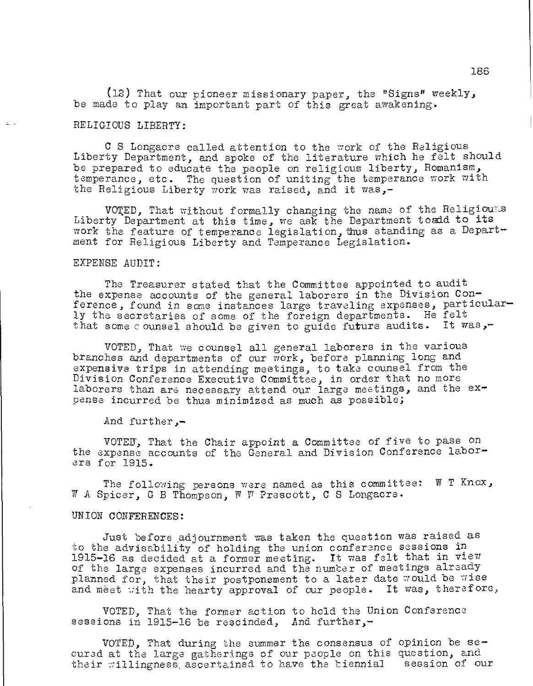(12) That our pioneer missionary paper, the "Signs° weekly, be made to play an important part of this great awakening.

## RELIGIOUS LIBERTY:

C S Longacre called attention to the work of the Religious Liberty Department, and spoke of the literature which he felt should be prepared to educate the people on religious liberty, Romanism, temperance, etc. The question of uniting the temperance work with the Religious Liberty work was raised, and it was,-

VOTED, That without formally changing the name of the Religiouls Liberty Department at this time, we ask the Department toadd to its work the feature of temperance legislation, thus standing as a Department for Religious Liberty and Temperance Legislation.

## EXPENSE AUDIT:

The Treasurer stated that the Committee appointed to audit the expense accounts of the general laborers in the Division Conference, found in some instances large traveling expenses, particularly the secretaries of some of the foreign departments. He felt that some counsel should be given to guide future audits. It was,-

VOTED, That we counsel all general laborers in the various branches and departments of our work, before planning long and expensive trips in attending meetings, to take counsel from the Division Conference Executive Committee, in order that no more laborers than are necessary attend our large meetings, and the  $ex$ pense incurred be thus minimized as much as possible;

And further,-

VOTED', That the Chair appoint a Committee of five to pass on the expense accounts of the General and Division Conference laborers for 1915.

The following persons were named as this committee: W T Knox, W A Spicer, G B Thompson,  $\mathbb F$   $\mathbb F$  Prescott, C S Longacre.

## UNION CONFERENCES:

Just before .adjournment was taken the question was raised as to the advisability of holding the union conference sessions in 1915-16 as decided at a former meeting. It was felt that in view of the large expenses incurred and the number of meetings already planned for, that their postponement to a later date would be wise and meet with the hearty approval of our people. It was, therefore,

VOTED, That the former action to hold the Union Conference sessions in 1915-16 be rescinded, And further,-

VOTED, That during the summer the consensus of opinion be secured at the large gatherings of our people on this question, and their willingness, ascertained to have the biennial session of our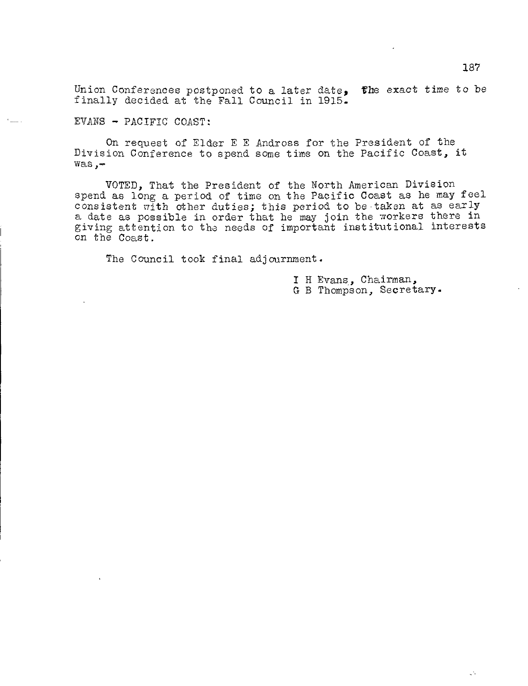Union Conferences postponed to a later date,  $\epsilon$  the exact time to be finally decided at the Fall Council in 1915.

EVANS - PACIFIC COAST:

On request of Elder E E Andross for the President of the Division Conference to spend some time on the Pacific Coast, it was,-

VOTED, That the President of the North American Division spend as long a period of time on the Pacific Coast as he may feel consistent pith other duties; this period to be taken at as early a date as possible in order that he may join the workers there in giving attention to the needs of important institutional interests on the Coast.

The Council took final adjournment.

I H Evans, Chairman, G B Thompson, Secretary.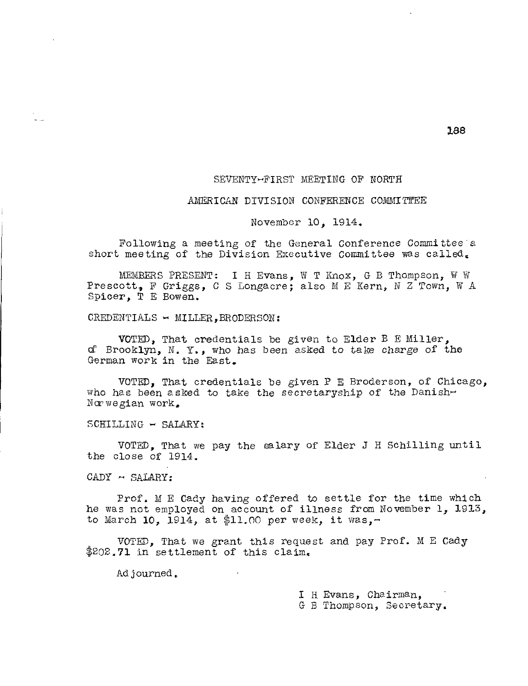#### SEVENTY-FIRST MEETING OF NORTH

## AMERICAN DIVISION CONFERENCE COMMITTEE

#### November 10, 1914.

Following a meeting of the General Conference Committee a short meeting of the Division Executive Committee was called.

MEMBERS PRESENT: I H Evans, W T Knox, G B Thompson, W W Prescott, F Griggs, C S Longacre; also M E Kern, N Z Town, W A Spicer, T E Bowen.

CREDENTIALS  $\sim$  MILLER, BRODERSON:

VOTED, That credentials be given to Elder B E Miller, of Brooklyn, N. Y., who has been asked to take charge of the German work in the East.

VOTED, That credentials be given P E Broderson, of Chicago, who has been asked to take the secretaryship of the Danish-Norwegian work,

SCHILLING - SALARY:

VOTED, That we pay the salary of Elder J H Schilling until the close of 1914.

 $\texttt{CADY}$  - SALARY:

Prof. M E Cady having offered to settle for the time which he was not employed on account of illness from November 1, 1913, to March  $10$ , 1914, at \$11.00 per week, it was,-

VOTED, That we grant this request and pay Prof. M E Cady  $$202.71$  in settlement of this claim.

Adjourned.

I H Evans, Chairman, G B Thompson, Secretary.